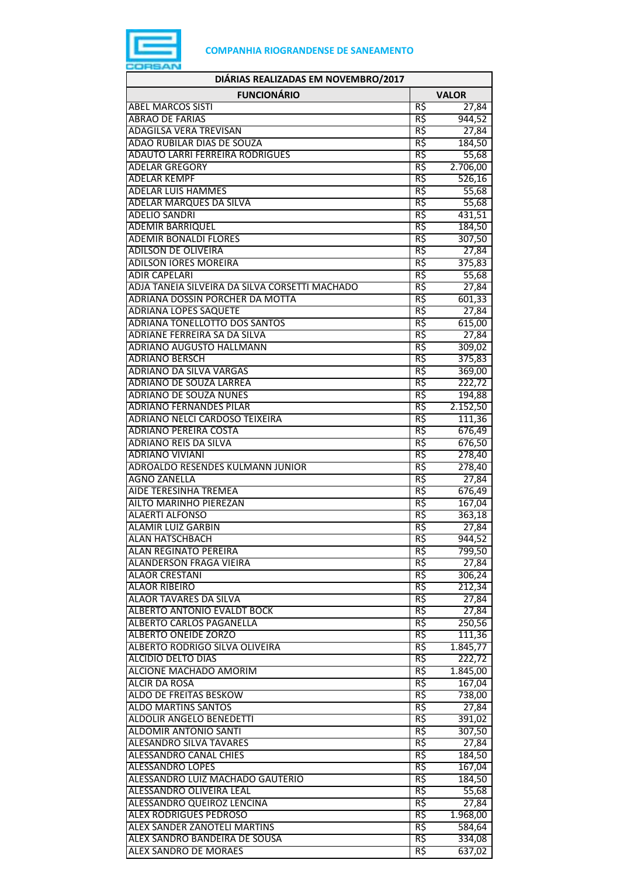

| DIÁRIAS REALIZADAS EM NOVEMBRO/2017                             |            |                  |
|-----------------------------------------------------------------|------------|------------------|
| <b>FUNCIONÁRIO</b>                                              |            | <b>VALOR</b>     |
| <b>ABEL MARCOS SISTI</b>                                        | R\$        | 27,84            |
| <b>ABRAO DE FARIAS</b>                                          | R\$        | 944,52           |
| <b>ADAGILSA VERA TREVISAN</b>                                   | R\$        | 27,84            |
| ADAO RUBILAR DIAS DE SOUZA                                      | R\$        | 184,50           |
| <b>ADAUTO LARRI FERREIRA RODRIGUES</b>                          | R\$        | 55,68            |
| <b>ADELAR GREGORY</b><br><b>ADELAR KEMPF</b>                    | R\$<br>R\$ | 2.706,00         |
| <b>ADELAR LUIS HAMMES</b>                                       | R\$        | 526,16<br>55,68  |
| <b>ADELAR MARQUES DA SILVA</b>                                  | R\$        | 55,68            |
| <b>ADELIO SANDRI</b>                                            | R\$        | 431,51           |
| <b>ADEMIR BARRIQUEL</b>                                         | R\$        | 184,50           |
| <b>ADEMIR BONALDI FLORES</b>                                    | R\$        | 307,50           |
| <b>ADILSON DE OLIVEIRA</b>                                      | R\$        | 27,84            |
| <b>ADILSON IORES MOREIRA</b>                                    | R\$        | 375,83           |
| <b>ADIR CAPELARI</b>                                            | R\$        | 55,68            |
| ADJA TANEIA SILVEIRA DA SILVA CORSETTI MACHADO                  | R\$        | 27,84            |
| <b>ADRIANA DOSSIN PORCHER DA MOTTA</b>                          | R\$        | 601,33           |
| <b>ADRIANA LOPES SAQUETE</b>                                    | R\$        | 27,84            |
| <b>ADRIANA TONELLOTTO DOS SANTOS</b>                            | R\$        | 615,00           |
| ADRIANE FERREIRA SA DA SILVA                                    | R\$        | 27,84            |
| <b>ADRIANO AUGUSTO HALLMANN</b>                                 | R\$        | 309,02           |
| <b>ADRIANO BERSCH</b><br><b>ADRIANO DA SILVA VARGAS</b>         | R\$<br>R\$ | 375,83           |
| <b>ADRIANO DE SOUZA LARREA</b>                                  | R\$        | 369,00<br>222,72 |
| <b>ADRIANO DE SOUZA NUNES</b>                                   | R\$        | 194,88           |
| <b>ADRIANO FERNANDES PILAR</b>                                  | R\$        | 2.152,50         |
| ADRIANO NELCI CARDOSO TEIXEIRA                                  | R\$        | 111,36           |
| <b>ADRIANO PEREIRA COSTA</b>                                    | R\$        | 676,49           |
| <b>ADRIANO REIS DA SILVA</b>                                    | R\$        | 676,50           |
| <b>ADRIANO VIVIANI</b>                                          | R\$        | 278,40           |
| ADROALDO RESENDES KULMANN JUNIOR                                | R\$        | 278,40           |
| <b>AGNO ZANELLA</b>                                             | R\$        | 27,84            |
| <b>AIDE TERESINHA TREMEA</b>                                    | R\$        | 676,49           |
| <b>AILTO MARINHO PIEREZAN</b>                                   | R\$        | 167,04           |
| <b>ALAERTI ALFONSO</b>                                          | R\$        | 363,18           |
| <b>ALAMIR LUIZ GARBIN</b>                                       | R\$        | 27,84            |
| ALAN HATSCHBACH<br>ALAN REGINATO PEREIRA                        | RŞ<br>R\$  | 944,52<br>799,50 |
| ALANDERSON FRAGA VIEIRA                                         | R\$        | 27,84            |
| <b>ALAOR CRESTANI</b>                                           | R\$        | 306,24           |
| <b>ALAOR RIBEIRO</b>                                            | R\$        | 212,34           |
| ALAOR TAVARES DA SILVA                                          | R\$        | 27,84            |
| ALBERTO ANTONIO EVALDT BOCK                                     | R\$        | 27,84            |
| <b>ALBERTO CARLOS PAGANELLA</b>                                 | R\$        | 250,56           |
| <b>ALBERTO ONEIDE ZORZO</b>                                     | R\$        | 111,36           |
| ALBERTO RODRIGO SILVA OLIVEIRA                                  | R\$        | 1.845,77         |
| <b>ALCIDIO DELTO DIAS</b>                                       | R\$        | 222,72           |
| ALCIONE MACHADO AMORIM                                          | R\$        | 1.845,00         |
| <b>ALCIR DA ROSA</b>                                            | R\$        | 167,04           |
| <b>ALDO DE FREITAS BESKOW</b>                                   | R\$        | 738,00           |
| <b>ALDO MARTINS SANTOS</b>                                      | R\$        | 27,84            |
| <b>ALDOLIR ANGELO BENEDETTI</b><br><b>ALDOMIR ANTONIO SANTI</b> | R\$<br>R\$ | 391,02           |
| <b>ALESANDRO SILVA TAVARES</b>                                  | R\$        | 307,50<br>27,84  |
| <b>ALESSANDRO CANAL CHIES</b>                                   | R\$        | 184,50           |
| ALESSANDRO LOPES                                                | R\$        | 167,04           |
| ALESSANDRO LUIZ MACHADO GAUTERIO                                | R\$        | 184,50           |
| ALESSANDRO OLIVEIRA LEAL                                        | R\$        | 55,68            |
| ALESSANDRO QUEIROZ LENCINA                                      | R\$        | 27,84            |
| <b>ALEX RODRIGUES PEDROSO</b>                                   | R\$        | 1.968,00         |
| <b>ALEX SANDER ZANOTELI MARTINS</b>                             | R\$        | 584,64           |
| ALEX SANDRO BANDEIRA DE SOUSA                                   | R\$        | 334,08           |
| <b>ALEX SANDRO DE MORAES</b>                                    | R\$        | 637,02           |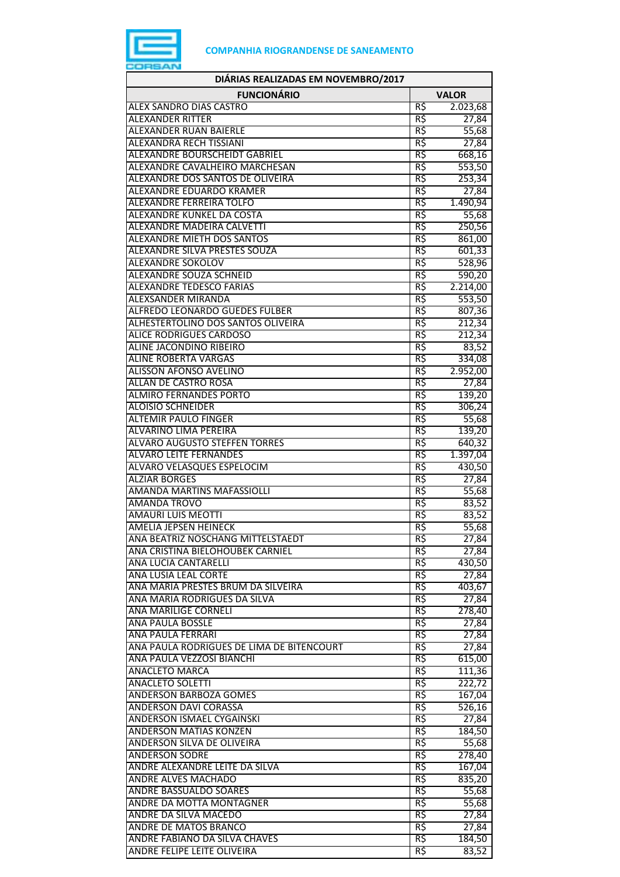

| DIÁRIAS REALIZADAS EM NOVEMBRO/2017                                   |                 |                    |
|-----------------------------------------------------------------------|-----------------|--------------------|
| <b>FUNCIONÁRIO</b>                                                    |                 | <b>VALOR</b>       |
| <b>ALEX SANDRO DIAS CASTRO</b>                                        | R\$             | 2.023,68           |
| <b>ALEXANDER RITTER</b>                                               | R\$             | 27,84              |
| <b>ALEXANDER RUAN BAIERLE</b>                                         | $R\overline{S}$ | 55,68              |
| <b>ALEXANDRA RECH TISSIANI</b>                                        | R\$             | 27,84              |
| <b>ALEXANDRE BOURSCHEIDT GABRIEL</b>                                  | R\$             | 668,16             |
| ALEXANDRE CAVALHEIRO MARCHESAN                                        | R\$             | 553,50             |
| ALEXANDRE DOS SANTOS DE OLIVEIRA                                      | R\$             | 253,34             |
| <b>ALEXANDRE EDUARDO KRAMER</b><br>ALEXANDRE FERREIRA TOLFO           | R\$<br>R\$      | 27,84              |
| ALEXANDRE KUNKEL DA COSTA                                             | R\$             | 1.490,94<br>55,68  |
| ALEXANDRE MADEIRA CALVETTI                                            | R\$             | 250,56             |
| <b>ALEXANDRE MIETH DOS SANTOS</b>                                     | R\$             | 861,00             |
| ALEXANDRE SILVA PRESTES SOUZA                                         | R\$             | 601,33             |
| <b>ALEXANDRE SOKOLOV</b>                                              | R\$             | 528,96             |
| <b>ALEXANDRE SOUZA SCHNEID</b>                                        | R\$             | 590,20             |
| <b>ALEXANDRE TEDESCO FARIAS</b>                                       | R\$             | 2.214,00           |
| <b>ALEXSANDER MIRANDA</b>                                             | R\$             | 553,50             |
| ALFREDO LEONARDO GUEDES FULBER                                        | R\$             | 807,36             |
| ALHESTERTOLINO DOS SANTOS OLIVEIRA                                    | R\$             | 212,34             |
| <b>ALICE RODRIGUES CARDOSO</b>                                        | R\$             | 212,34             |
| <b>ALINE JACONDINO RIBEIRO</b>                                        | R\$             | 83,52              |
| <b>ALINE ROBERTA VARGAS</b>                                           | R\$             | 334,08             |
| ALISSON AFONSO AVELINO                                                | R\$             | 2.952,00           |
| ALLAN DE CASTRO ROSA                                                  | R\$             | 27,84              |
| <b>ALMIRO FERNANDES PORTO</b>                                         | R\$             | 139,20             |
| <b>ALOISIO SCHNEIDER</b>                                              | R\$             | 306,24             |
| <b>ALTEMIR PAULO FINGER</b>                                           | R\$             | 55,68              |
| <b>ALVARINO LIMA PEREIRA</b>                                          | R\$             | 139,20             |
| <b>ALVARO AUGUSTO STEFFEN TORRES</b><br><b>ALVARO LEITE FERNANDES</b> | R\$<br>R\$      | 640,32<br>1.397,04 |
| <b>ALVARO VELASQUES ESPELOCIM</b>                                     | R\$             | 430,50             |
| <b>ALZIAR BORGES</b>                                                  | R\$             | 27,84              |
| AMANDA MARTINS MAFASSIOLLI                                            | R\$             | 55,68              |
| <b>AMANDA TROVO</b>                                                   | R\$             | 83,52              |
| AMAURI LUIS MEOTTI                                                    | R\$             | 83,52              |
| <b>AMELIA JEPSEN HEINECK</b>                                          | R\$             | 55,68              |
| ANA BEATRIZ NOSCHANG MITTELSTAEDT                                     | R\$             | 27,84              |
| ANA CRISTINA BIELOHOUBEK CARNIEL                                      | R\$             | 27,84              |
| <b>ANA LUCIA CANTARELLI</b>                                           | R\$             | 430,50             |
| <b>ANA LUSIA LEAL CORTE</b>                                           | R\$             | 27,84              |
| ANA MARIA PRESTES BRUM DA SILVEIRA                                    | $R\zeta$        | 403,67             |
| ANA MARIA RODRIGUES DA SILVA                                          | R\$             | 27,84              |
| <b>ANA MARILIGE CORNELI</b>                                           | R\$             | 278,40             |
| <b>ANA PAULA BOSSLE</b>                                               | R\$             | 27,84              |
| ANA PAULA FERRARI                                                     | R\$             | 27,84              |
| ANA PAULA RODRIGUES DE LIMA DE BITENCOURT                             | R\$             | 27,84              |
| ANA PAULA VEZZOSI BIANCHI                                             | R\$             | 615,00             |
| <b>ANACLETO MARCA</b><br><b>ANACLETO SOLETTI</b>                      | R\$<br>R\$      | 111,36             |
| ANDERSON BARBOZA GOMES                                                | R\$             | 222,72<br>167,04   |
| <b>ANDERSON DAVI CORASSA</b>                                          | R\$             | 526,16             |
| <b>ANDERSON ISMAEL CYGAINSKI</b>                                      | R\$             | 27,84              |
| <b>ANDERSON MATIAS KONZEN</b>                                         | R\$             | 184,50             |
| <b>ANDERSON SILVA DE OLIVEIRA</b>                                     | R\$             | 55,68              |
| <b>ANDERSON SODRE</b>                                                 | R\$             | 278,40             |
| ANDRE ALEXANDRE LEITE DA SILVA                                        | R\$             | 167,04             |
| <b>ANDRE ALVES MACHADO</b>                                            | R\$             | 835,20             |
| <b>ANDRE BASSUALDO SOARES</b>                                         | R\$             | 55,68              |
| <b>ANDRE DA MOTTA MONTAGNER</b>                                       | R\$             | 55,68              |
| ANDRE DA SILVA MACEDO                                                 | R\$             | 27,84              |
| ANDRE DE MATOS BRANCO                                                 | R\$             | 27,84              |
| ANDRE FABIANO DA SILVA CHAVES                                         | R\$             | 184,50             |
| ANDRE FELIPE LEITE OLIVEIRA                                           | R\$             | 83,52              |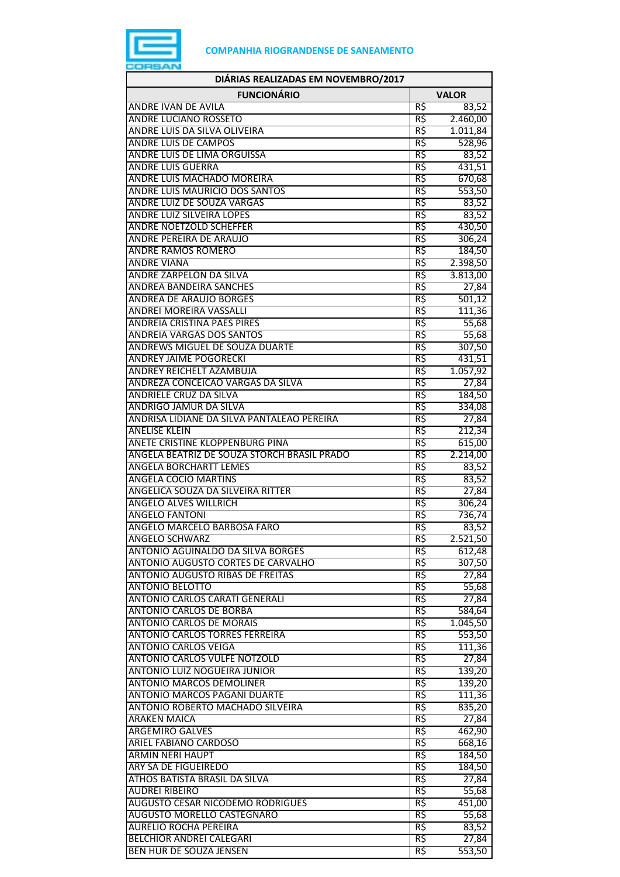

| DIÁRIAS REALIZADAS EM NOVEMBRO/2017                     |              |                    |
|---------------------------------------------------------|--------------|--------------------|
| <b>FUNCIONÁRIO</b>                                      | <b>VALOR</b> |                    |
| <b>ANDRE IVAN DE AVILA</b>                              | R\$          | 83,52              |
| <b>ANDRE LUCIANO ROSSETO</b>                            | R\$          | 2.460,00           |
| ANDRE LUIS DA SILVA OLIVEIRA                            | R\$          | 1.011,84           |
| <b>ANDRE LUIS DE CAMPOS</b>                             | R\$          | 528,96             |
| ANDRE LUIS DE LIMA ORGUISSA                             | R\$          | 83,52              |
| <b>ANDRE LUIS GUERRA</b>                                | R\$          | 431,51             |
| ANDRE LUIS MACHADO MOREIRA                              | R\$          | 670,68             |
| ANDRE LUIS MAURICIO DOS SANTOS                          | R\$          | 553,50             |
| ANDRE LUIZ DE SOUZA VARGAS                              | R\$          | 83,52              |
| <b>ANDRE LUIZ SILVEIRA LOPES</b>                        | R\$          | 83,52              |
| <b>ANDRE NOETZOLD SCHEFFER</b>                          | R\$          | 430,50             |
| ANDRE PEREIRA DE ARAUJO                                 | R\$          | 306,24             |
| <b>ANDRE RAMOS ROMERO</b>                               | R\$          | 184,50             |
| <b>ANDRE VIANA</b>                                      | R\$          | 2.398,50           |
| ANDRE ZARPELON DA SILVA                                 | R\$          | 3.813,00           |
| <b>ANDREA BANDEIRA SANCHES</b>                          | R\$          | 27,84              |
| <b>ANDREA DE ARAUJO BORGES</b>                          | R\$          | 501,12             |
| <b>ANDREI MOREIRA VASSALLI</b>                          | R\$          | 111,36             |
| <b>ANDREIA CRISTINA PAES PIRES</b>                      | R\$          | 55,68              |
| <b>ANDREIA VARGAS DOS SANTOS</b>                        | R\$          | 55,68              |
| <b>ANDREWS MIGUEL DE SOUZA DUARTE</b>                   | R\$          | 307,50             |
| <b>ANDREY JAIME POGORECKI</b>                           | R\$          | 431,51             |
| ANDREY REICHELT AZAMBUJA                                | R\$          | 1.057,92           |
| ANDREZA CONCEICAO VARGAS DA SILVA                       | R\$<br>R\$   | 27,84              |
| <b>ANDRIELE CRUZ DA SILVA</b><br>ANDRIGO JAMUR DA SILVA | R\$          | 184,50             |
| ANDRISA LIDIANE DA SILVA PANTALEAO PEREIRA              | R\$          | 334,08             |
| <b>ANELISE KLEIN</b>                                    | R\$          | 27,84<br>212,34    |
| ANETE CRISTINE KLOPPENBURG PINA                         | R\$          |                    |
| ANGELA BEATRIZ DE SOUZA STORCH BRASIL PRADO             | R\$          | 615,00<br>2.214,00 |
| <b>ANGELA BORCHARTT LEMES</b>                           | R\$          | 83,52              |
| <b>ANGELA COCIO MARTINS</b>                             | R\$          | 83,52              |
| ANGELICA SOUZA DA SILVEIRA RITTER                       | R\$          | 27,84              |
| <b>ANGELO ALVES WILLRICH</b>                            | R\$          | 306,24             |
| <b>ANGELO FANTONI</b>                                   | R\$          | 736,74             |
| ANGELO MARCELO BARBOSA FARO                             | R\$          | 83,52              |
| <b>ANGELO SCHWARZ</b>                                   | кş           | 2.521,50           |
| ANTONIO AGUINALDO DA SILVA BORGES                       | R\$          | 612,48             |
| ANTONIO AUGUSTO CORTES DE CARVALHO                      | R\$          | 307,50             |
| <b>ANTONIO AUGUSTO RIBAS DE FREITAS</b>                 | R\$          | 27,84              |
| <b>ANTONIO BELOTTO</b>                                  | R\$          | 55,68              |
| <b>ANTONIO CARLOS CARATI GENERALI</b>                   | R\$          | 27,84              |
| <b>ANTONIO CARLOS DE BORBA</b>                          | R\$          | 584,64             |
| <b>ANTONIO CARLOS DE MORAIS</b>                         | R\$          | 1.045,50           |
| <b>ANTONIO CARLOS TORRES FERREIRA</b>                   | R\$          | 553,50             |
| <b>ANTONIO CARLOS VEIGA</b>                             | R\$          | 111,36             |
| <b>ANTONIO CARLOS VULFE NOTZOLD</b>                     | R\$          | 27,84              |
| <b>ANTONIO LUIZ NOGUEIRA JUNIOR</b>                     | R\$          | 139,20             |
| ANTONIO MARCOS DEMOLINER                                | R\$          | 139,20             |
| <b>ANTONIO MARCOS PAGANI DUARTE</b>                     | R\$          | 111,36             |
| ANTONIO ROBERTO MACHADO SILVEIRA                        | R\$          | 835,20             |
| <b>ARAKEN MAICA</b>                                     | R\$          | 27,84              |
| <b>ARGEMIRO GALVES</b>                                  | R\$          | 462,90             |
| ARIEL FABIANO CARDOSO                                   | R\$          | 668,16             |
| <b>ARMIN NERI HAUPT</b>                                 | R\$          | 184,50             |
| ARY SA DE FIGUEIREDO                                    | R\$          | 184,50             |
| ATHOS BATISTA BRASIL DA SILVA                           | R\$          | 27,84              |
| <b>AUDREI RIBEIRO</b>                                   | R\$          | 55,68              |
| <b>AUGUSTO CESAR NICODEMO RODRIGUES</b>                 | R\$          | 451,00             |
| AUGUSTO MORELLO CASTEGNARO                              | R\$          | 55,68              |
| <b>AURELIO ROCHA PEREIRA</b>                            | R\$          | 83,52              |
| BELCHIOR ANDREI CALEGARI                                | R\$          | 27,84              |
| BEN HUR DE SOUZA JENSEN                                 | R\$          | 553,50             |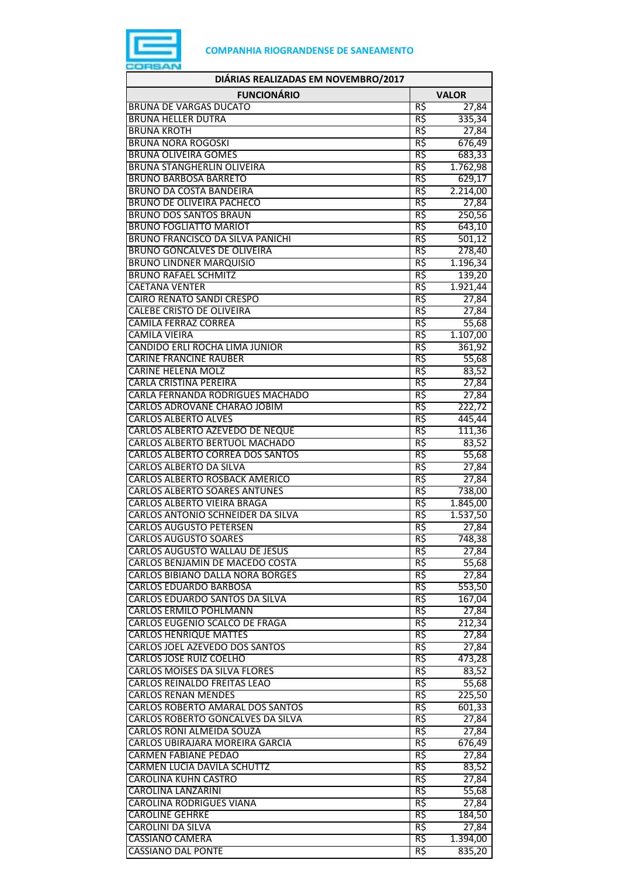

| DIÁRIAS REALIZADAS EM NOVEMBRO/2017                                      |              |                  |
|--------------------------------------------------------------------------|--------------|------------------|
| <b>FUNCIONÁRIO</b>                                                       | <b>VALOR</b> |                  |
| <b>BRUNA DE VARGAS DUCATO</b>                                            | R\$          | 27,84            |
| <b>BRUNA HELLER DUTRA</b>                                                | R\$          | 335,34           |
| <b>BRUNA KROTH</b>                                                       | R\$          | 27,84            |
| <b>BRUNA NORA ROGOSKI</b>                                                | R\$          | 676,49           |
| <b>BRUNA OLIVEIRA GOMES</b>                                              | R\$          | 683,33           |
| <b>BRUNA STANGHERLIN OLIVEIRA</b>                                        | R\$          | 1.762,98         |
| <b>BRUNO BARBOSA BARRETO</b>                                             | R\$          | 629,17           |
| <b>BRUNO DA COSTA BANDEIRA</b>                                           | R\$          | 2.214,00         |
| <b>BRUNO DE OLIVEIRA PACHECO</b>                                         | R\$          | 27,84            |
| <b>BRUNO DOS SANTOS BRAUN</b><br><b>BRUNO FOGLIATTO MARIOT</b>           | R\$<br>R\$   | 250,56           |
| <b>BRUNO FRANCISCO DA SILVA PANICHI</b>                                  | R\$          | 643,10           |
| BRUNO GONCALVES DE OLIVEIRA                                              | R\$          | 501,12<br>278,40 |
| <b>BRUNO LINDNER MARQUISIO</b>                                           | R\$          | 1.196,34         |
| <b>BRUNO RAFAEL SCHMITZ</b>                                              | R\$          | 139,20           |
| <b>CAETANA VENTER</b>                                                    | R\$          | 1.921,44         |
| <b>CAIRO RENATO SANDI CRESPO</b>                                         | R\$          | 27,84            |
| <b>CALEBE CRISTO DE OLIVEIRA</b>                                         | R\$          | 27,84            |
| <b>CAMILA FERRAZ CORREA</b>                                              | R\$          | 55,68            |
| <b>CAMILA VIEIRA</b>                                                     | R\$          | 1.107,00         |
| CANDIDO ERLI ROCHA LIMA JUNIOR                                           | R\$          | 361,92           |
| <b>CARINE FRANCINE RAUBER</b>                                            | R\$          | 55,68            |
| CARINE HELENA MOLZ                                                       | R\$          | 83,52            |
| <b>CARLA CRISTINA PEREIRA</b>                                            | R\$          | 27,84            |
| CARLA FERNANDA RODRIGUES MACHADO                                         | R\$          | 27,84            |
| CARLOS ADROVANE CHARAO JOBIM                                             | R\$          | 222,72           |
| <b>CARLOS ALBERTO ALVES</b>                                              | R\$          | 445,44           |
| CARLOS ALBERTO AZEVEDO DE NEQUE                                          | R\$          | 111,36           |
| CARLOS ALBERTO BERTUOL MACHADO                                           | R\$          | 83,52            |
| <b>CARLOS ALBERTO CORREA DOS SANTOS</b>                                  | R\$          | 55,68            |
| CARLOS ALBERTO DA SILVA                                                  | R\$          | 27,84            |
| CARLOS ALBERTO ROSBACK AMERICO                                           | R\$          | 27,84            |
| <b>CARLOS ALBERTO SOARES ANTUNES</b>                                     | R\$          | 738,00           |
| CARLOS ALBERTO VIEIRA BRAGA                                              | R\$          | 1.845,00         |
| CARLOS ANTONIO SCHNEIDER DA SILVA                                        | R\$          | 1.537,50         |
| <b>CARLOS AUGUSTO PETERSEN</b>                                           | R\$          | 27,84            |
| <b>CARLOS AUGUSTO SOARES</b>                                             | кş           | 748,38           |
| CARLOS AUGUSTO WALLAU DE JESUS<br>CARLOS BENJAMIN DE MACEDO COSTA        | R\$          | 27,84            |
|                                                                          | R\$<br>R\$   | 55,68<br>27,84   |
| <b>CARLOS BIBIANO DALLA NORA BORGES</b><br><b>CARLOS EDUARDO BARBOSA</b> | R\$          | 553,50           |
| CARLOS EDUARDO SANTOS DA SILVA                                           | R\$          | 167,04           |
| <b>CARLOS ERMILO POHLMANN</b>                                            | R\$          | 27,84            |
| CARLOS EUGENIO SCALCO DE FRAGA                                           | R\$          | 212,34           |
| <b>CARLOS HENRIQUE MATTES</b>                                            | R\$          | 27,84            |
| CARLOS JOEL AZEVEDO DOS SANTOS                                           | R\$          | 27,84            |
| <b>CARLOS JOSE RUIZ COELHO</b>                                           | R\$          | 473,28           |
| <b>CARLOS MOISES DA SILVA FLORES</b>                                     | R\$          | 83,52            |
| CARLOS REINALDO FREITAS LEAO                                             | R\$          | 55,68            |
| <b>CARLOS RENAN MENDES</b>                                               | R\$          | 225,50           |
| <b>CARLOS ROBERTO AMARAL DOS SANTOS</b>                                  | R\$          | 601,33           |
| CARLOS ROBERTO GONCALVES DA SILVA                                        | R\$          | 27,84            |
| <b>CARLOS RONI ALMEIDA SOUZA</b>                                         | R\$          | 27,84            |
| CARLOS UBIRAJARA MOREIRA GARCIA                                          | R\$          | 676,49           |
| <b>CARMEN FABIANE PEDAO</b>                                              | R\$          | 27,84            |
| <b>CARMEN LUCIA DAVILA SCHUTTZ</b>                                       | R\$          | 83,52            |
| <b>CAROLINA KUHN CASTRO</b>                                              | R\$          | 27,84            |
| <b>CAROLINA LANZARINI</b>                                                | R\$          | 55,68            |
| <b>CAROLINA RODRIGUES VIANA</b>                                          | R\$          | 27,84            |
| <b>CAROLINE GEHRKE</b>                                                   | R\$          | 184,50           |
| CAROLINI DA SILVA                                                        | R\$          | 27,84            |
| CASSIANO CAMERA                                                          | R\$          | 1.394,00         |
| <b>CASSIANO DAL PONTE</b>                                                | R\$          | 835,20           |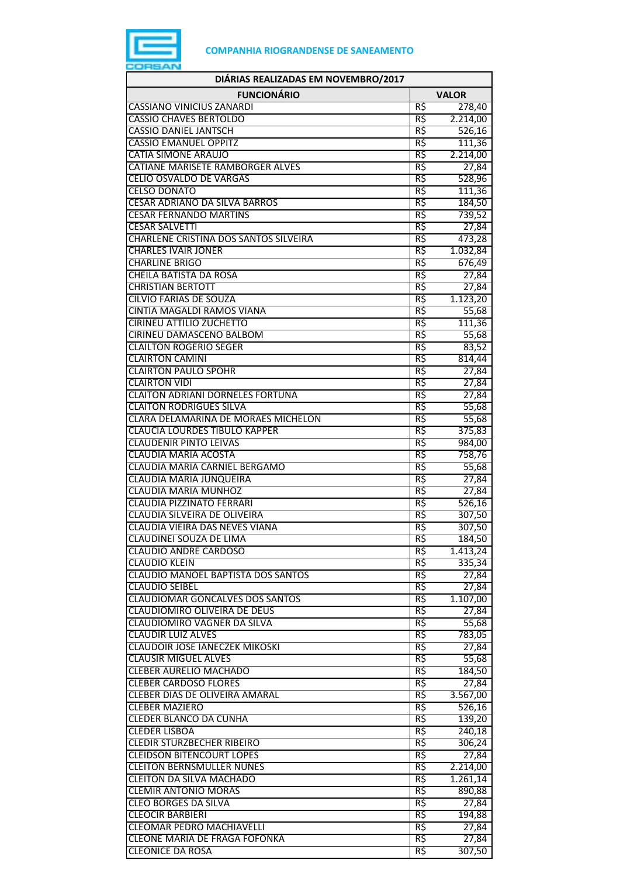

| DIÁRIAS REALIZADAS EM NOVEMBRO/2017                                   |                 |                     |
|-----------------------------------------------------------------------|-----------------|---------------------|
| <b>FUNCIONÁRIO</b>                                                    |                 | <b>VALOR</b>        |
| <b>CASSIANO VINICIUS ZANARDI</b>                                      | R\$             | 278,40              |
| <b>CASSIO CHAVES BERTOLDO</b>                                         | R\$             | 2.214,00            |
| <b>CASSIO DANIEL JANTSCH</b>                                          | R\$             | 526,16              |
| <b>CASSIO EMANUEL OPPITZ</b>                                          | R\$             | 111,36              |
| <b>CATIA SIMONE ARAUJO</b>                                            | R\$             | 2.214,00            |
| CATIANE MARISETE RAMBORGER ALVES                                      | R\$             | 27,84               |
| <b>CELIO OSVALDO DE VARGAS</b>                                        | R\$             | 528,96              |
| <b>CELSO DONATO</b><br><b>CESAR ADRIANO DA SILVA BARROS</b>           | R\$<br>R\$      | 111,36              |
| <b>CESAR FERNANDO MARTINS</b>                                         | R\$             | 184,50<br>739,52    |
| <b>CESAR SALVETTI</b>                                                 | R\$             | 27,84               |
| CHARLENE CRISTINA DOS SANTOS SILVEIRA                                 | R\$             | 473,28              |
| <b>CHARLES IVAIR JONER</b>                                            | R\$             | 1.032,84            |
| <b>CHARLINE BRIGO</b>                                                 | R\$             | 676,49              |
| <b>CHEILA BATISTA DA ROSA</b>                                         | R\$             | 27,84               |
| <b>CHRISTIAN BERTOTT</b>                                              | R\$             | 27,84               |
| <b>CILVIO FARIAS DE SOUZA</b>                                         | R\$             | 1.123,20            |
| <b>CINTIA MAGALDI RAMOS VIANA</b>                                     | R\$             | 55,68               |
| <b>CIRINEU ATTILIO ZUCHETTO</b>                                       | R\$             | 111,36              |
| CIRINEU DAMASCENO BALBOM                                              | R\$             | 55,68               |
| <b>CLAILTON ROGERIO SEGER</b>                                         | R\$             | 83,52               |
| <b>CLAIRTON CAMINI</b>                                                | R\$             | 814,44              |
| <b>CLAIRTON PAULO SPOHR</b>                                           | R\$             | 27,84               |
| <b>CLAIRTON VIDI</b>                                                  | R\$             | 27,84               |
| <b>CLAITON ADRIANI DORNELES FORTUNA</b>                               | R\$             | 27,84               |
| <b>CLAITON RODRIGUES SILVA</b><br>CLARA DELAMARINA DE MORAES MICHELON | R\$<br>R\$      | 55,68<br>55,68      |
| <b>CLAUCIA LOURDES TIBULO KAPPER</b>                                  | R\$             | 375,83              |
| <b>CLAUDENIR PINTO LEIVAS</b>                                         | R\$             | 984,00              |
| <b>CLAUDIA MARIA ACOSTA</b>                                           | R\$             | 758,76              |
| CLAUDIA MARIA CARNIEL BERGAMO                                         | R\$             | 55,68               |
| CLAUDIA MARIA JUNQUEIRA                                               | R\$             | 27,84               |
| <b>CLAUDIA MARIA MUNHOZ</b>                                           | R\$             | 27,84               |
| <b>CLAUDIA PIZZINATO FERRARI</b>                                      | R\$             | $\overline{526,16}$ |
| CLAUDIA SILVEIRA DE OLIVEIRA                                          | R\$             | 307,50              |
| CLAUDIA VIEIRA DAS NEVES VIANA                                        | R\$             | 307,50              |
| CLAUDINEI SOUZA DE LIMA                                               | R\$             | 184,50              |
| <b>CLAUDIO ANDRE CARDOSO</b>                                          | R\$             | 1.413,24            |
| <b>CLAUDIO KLEIN</b>                                                  | R\$             | 335,34              |
| <b>CLAUDIO MANOEL BAPTISTA DOS SANTOS</b>                             | $R\overline{S}$ | 27,84               |
| <b>CLAUDIO SEIBEL</b><br><b>CLAUDIOMAR GONCALVES DOS SANTOS</b>       | R\$             | 27,84               |
| <b>CLAUDIOMIRO OLIVEIRA DE DEUS</b>                                   | R\$<br>R\$      | 1.107,00<br>27,84   |
| CLAUDIOMIRO VAGNER DA SILVA                                           | R\$             | 55,68               |
| <b>CLAUDIR LUIZ ALVES</b>                                             | R\$             | 783,05              |
| <b>CLAUDOIR JOSE IANECZEK MIKOSKI</b>                                 | R\$             | 27,84               |
| <b>CLAUSIR MIGUEL ALVES</b>                                           | R\$             | 55,68               |
| <b>CLEBER AURELIO MACHADO</b>                                         | R\$             | 184,50              |
| <b>CLEBER CARDOSO FLORES</b>                                          | R\$             | 27,84               |
| <b>CLEBER DIAS DE OLIVEIRA AMARAL</b>                                 | R\$             | 3.567,00            |
| <b>CLEBER MAZIERO</b>                                                 | R\$             | 526,16              |
| <b>CLEDER BLANCO DA CUNHA</b>                                         | R\$             | 139,20              |
| <b>CLEDER LISBOA</b>                                                  | R\$             | 240,18              |
| <b>CLEDIR STURZBECHER RIBEIRO</b>                                     | R\$             | 306,24              |
| <b>CLEIDSON BITENCOURT LOPES</b>                                      | R\$             | 27,84               |
| <b>CLEITON BERNSMULLER NUNES</b>                                      | R\$             | 2.214,00            |
| <b>CLEITON DA SILVA MACHADO</b>                                       | R\$             | 1.261,14            |
| <b>CLEMIR ANTONIO MORAS</b><br><b>CLEO BORGES DA SILVA</b>            | R\$<br>R\$      | 890,88              |
| <b>CLEOCIR BARBIERI</b>                                               | R\$             | 27,84<br>194,88     |
| CLEOMAR PEDRO MACHIAVELLI                                             | R\$             | 27,84               |
| CLEONE MARIA DE FRAGA FOFONKA                                         | R\$             | 27,84               |
| <b>CLEONICE DA ROSA</b>                                               | R\$             | 307,50              |
|                                                                       |                 |                     |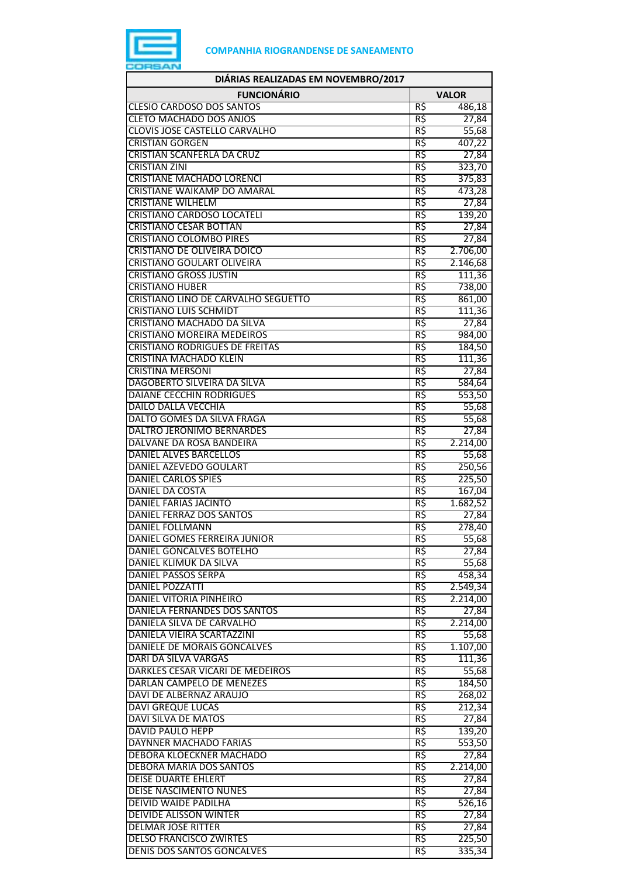

| DIÁRIAS REALIZADAS EM NOVEMBRO/2017                         |            |                |
|-------------------------------------------------------------|------------|----------------|
| <b>FUNCIONÁRIO</b>                                          |            | <b>VALOR</b>   |
| <b>CLESIO CARDOSO DOS SANTOS</b>                            | R\$        | 486,18         |
| <b>CLETO MACHADO DOS ANJOS</b>                              | R\$        | 27,84          |
| CLOVIS JOSE CASTELLO CARVALHO                               | R\$        | 55,68          |
| <b>CRISTIAN GORGEN</b>                                      | R\$        | 407,22         |
| <b>CRISTIAN SCANFERLA DA CRUZ</b>                           | R\$        | 27,84          |
| <b>CRISTIAN ZINI</b>                                        | R\$        | 323,70         |
| <b>CRISTIANE MACHADO LORENCI</b>                            | R\$        | 375,83         |
| CRISTIANE WAIKAMP DO AMARAL                                 | R\$        | 473,28         |
| <b>CRISTIANE WILHELM</b>                                    | R\$        | 27,84          |
| CRISTIANO CARDOSO LOCATELI<br><b>CRISTIANO CESAR BOTTAN</b> | R\$<br>R\$ | 139,20         |
| <b>CRISTIANO COLOMBO PIRES</b>                              | R\$        | 27,84<br>27,84 |
| <b>CRISTIANO DE OLIVEIRA DOICO</b>                          | R\$        | 2.706,00       |
| <b>CRISTIANO GOULART OLIVEIRA</b>                           | R\$        | 2.146,68       |
| <b>CRISTIANO GROSS JUSTIN</b>                               | R\$        | 111,36         |
| <b>CRISTIANO HUBER</b>                                      | R\$        | 738,00         |
| CRISTIANO LINO DE CARVALHO SEGUETTO                         | R\$        | 861,00         |
| <b>CRISTIANO LUIS SCHMIDT</b>                               | R\$        | 111,36         |
| CRISTIANO MACHADO DA SILVA                                  | R\$        | 27,84          |
| <b>CRISTIANO MOREIRA MEDEIROS</b>                           | R\$        | 984,00         |
| <b>CRISTIANO RODRIGUES DE FREITAS</b>                       | R\$        | 184,50         |
| CRISTINA MACHADO KLEIN                                      | R\$        | 111,36         |
| <b>CRISTINA MERSONI</b>                                     | R\$        | 27,84          |
| DAGOBERTO SILVEIRA DA SILVA                                 | R\$        | 584,64         |
| <b>DAIANE CECCHIN RODRIGUES</b>                             | R\$        | 553,50         |
| <b>DAILO DALLA VECCHIA</b>                                  | R\$        | 55,68          |
| DALTO GOMES DA SILVA FRAGA                                  | R\$        | 55,68          |
| DALTRO JERONIMO BERNARDES                                   | R\$        | 27,84          |
| DALVANE DA ROSA BANDEIRA                                    | R\$        | 2.214,00       |
| DANIEL ALVES BARCELLOS                                      | R\$        | 55,68          |
| DANIEL AZEVEDO GOULART                                      | R\$        | 250,56         |
| <b>DANIEL CARLOS SPIES</b>                                  | R\$        | 225,50         |
| DANIEL DA COSTA                                             | R\$        | 167,04         |
| <b>DANIEL FARIAS JACINTO</b>                                | R\$        | 1.682,52       |
| DANIEL FERRAZ DOS SANTOS                                    | R\$        | 27,84          |
| <b>DANIEL FOLLMANN</b>                                      | R\$        | 278,40         |
| DANIEL GOMES FERREIRA JUNIOR<br>DANIEL GONCALVES BOTELHO    | R\$<br>R\$ | 55,68          |
| DANIEL KLIMUK DA SILVA                                      | R\$        | 27,84<br>55,68 |
| DANIEL PASSOS SERPA                                         | R\$        | 458,34         |
| DANIEL POZZATTI                                             | R\$        | 2.549,34       |
| DANIEL VITORIA PINHEIRO                                     | R\$        | 2.214,00       |
| DANIELA FERNANDES DOS SANTOS                                | R\$        | 27,84          |
| DANIELA SILVA DE CARVALHO                                   | R\$        | 2.214,00       |
| DANIELA VIEIRA SCARTAZZINI                                  | R\$        | 55,68          |
| DANIELE DE MORAIS GONCALVES                                 | R\$        | 1.107,00       |
| DARI DA SILVA VARGAS                                        | R\$        | 111,36         |
| DARKLES CESAR VICARI DE MEDEIROS                            | R\$        | 55,68          |
| DARLAN CAMPELO DE MENEZES                                   | R\$        | 184,50         |
| DAVI DE ALBERNAZ ARAUJO                                     | R\$        | 268,02         |
| <b>DAVI GREQUE LUCAS</b>                                    | R\$        | 212,34         |
| DAVI SILVA DE MATOS                                         | R\$        | 27,84          |
| DAVID PAULO HEPP                                            | R\$        | 139,20         |
| DAYNNER MACHADO FARIAS                                      | R\$        | 553,50         |
| DEBORA KLOECKNER MACHADO                                    | R\$        | 27,84          |
| DEBORA MARIA DOS SANTOS                                     | R\$        | 2.214,00       |
| <b>DEISE DUARTE EHLERT</b>                                  | R\$        | 27,84          |
| <b>DEISE NASCIMENTO NUNES</b>                               | R\$        | 27,84          |
| <b>DEIVID WAIDE PADILHA</b>                                 | R\$        | 526,16         |
| DEIVIDE ALISSON WINTER                                      | R\$        | 27,84          |
| DELMAR JOSE RITTER                                          | R\$        | 27,84          |
| <b>DELSO FRANCISCO ZWIRTES</b>                              | R\$        | 225,50         |
| <b>DENIS DOS SANTOS GONCALVES</b>                           | R\$        | 335,34         |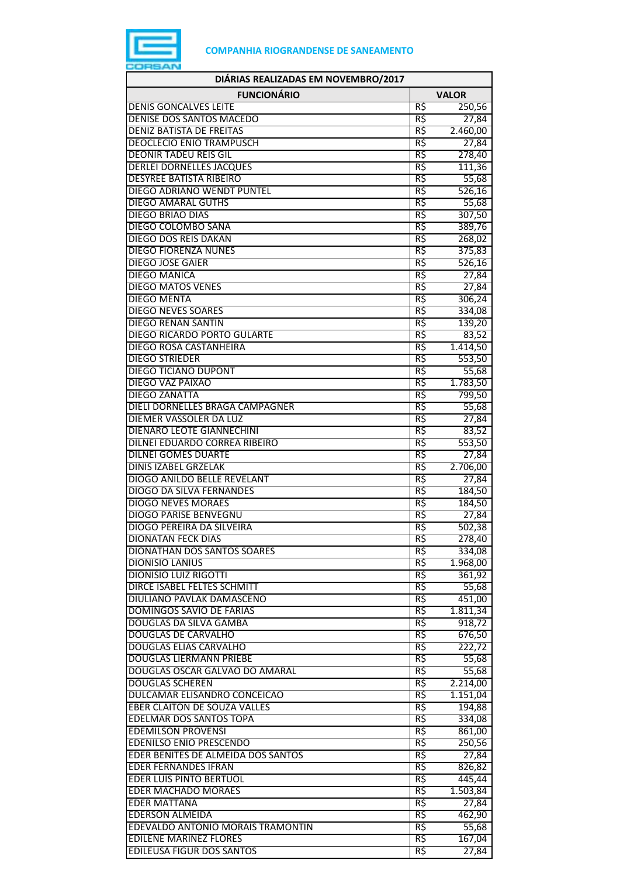

| DIÁRIAS REALIZADAS EM NOVEMBRO/2017                               |              |                      |
|-------------------------------------------------------------------|--------------|----------------------|
| <b>FUNCIONÁRIO</b>                                                | <b>VALOR</b> |                      |
| <b>DENIS GONCALVES LEITE</b>                                      | R\$          | 250,56               |
| DENISE DOS SANTOS MACEDO                                          | R\$          | 27,84                |
| <b>DENIZ BATISTA DE FREITAS</b>                                   | R\$          | 2.460,00             |
| <b>DEOCLECIO ENIO TRAMPUSCH</b>                                   | R\$          | 27,84                |
| <b>DEONIR TADEU REIS GIL</b>                                      | R\$          | 278,40               |
| <b>DERLEI DORNELLES JACQUES</b><br><b>DESYREE BATISTA RIBEIRO</b> | R\$          | 111,36               |
| DIEGO ADRIANO WENDT PUNTEL                                        | R\$<br>R\$   | 55,68<br>526,16      |
| <b>DIEGO AMARAL GUTHS</b>                                         | R\$          | 55,68                |
| <b>DIEGO BRIAO DIAS</b>                                           | R\$          | 307,50               |
| DIEGO COLOMBO SANA                                                | R\$          | 389,76               |
| <b>DIEGO DOS REIS DAKAN</b>                                       | R\$          | 268,02               |
| <b>DIEGO FIORENZA NUNES</b>                                       | R\$          | 375,83               |
| <b>DIEGO JOSE GAIER</b>                                           | R\$          | 526,16               |
| <b>DIEGO MANICA</b>                                               | R\$          | 27,84                |
| <b>DIEGO MATOS VENES</b>                                          | R\$          | 27,84                |
| <b>DIEGO MENTA</b>                                                | R\$          | 306,24               |
| <b>DIEGO NEVES SOARES</b>                                         | R\$          | 334,08               |
| <b>DIEGO RENAN SANTIN</b>                                         | R\$          | 139,20               |
| DIEGO RICARDO PORTO GULARTE<br><b>DIEGO ROSA CASTANHEIRA</b>      | R\$<br>R\$   | 83,52<br>1.414,50    |
| <b>DIEGO STRIEDER</b>                                             | R\$          | 553,50               |
| <b>DIEGO TICIANO DUPONT</b>                                       | R\$          | 55,68                |
| <b>DIEGO VAZ PAIXAO</b>                                           | R\$          | 1.783,50             |
| <b>DIEGO ZANATTA</b>                                              | R\$          | 799,50               |
| DIELI DORNELLES BRAGA CAMPAGNER                                   | R\$          | 55,68                |
| DIEMER VASSOLER DA LUZ                                            | R\$          | 27,84                |
| DIENARO LEOTE GIANNECHINI                                         | R\$          | 83,52                |
| DILNEI EDUARDO CORREA RIBEIRO                                     | R\$          | 553,50               |
| <b>DILNEI GOMES DUARTE</b>                                        | R\$          | 27,84                |
| <b>DINIS IZABEL GRZELAK</b>                                       | R\$          | 2.706,00             |
| <b>DIOGO ANILDO BELLE REVELANT</b>                                | R\$          | 27,84                |
| <b>DIOGO DA SILVA FERNANDES</b>                                   | R\$          | 184,50               |
| <b>DIOGO NEVES MORAES</b><br><b>DIOGO PARISE BENVEGNU</b>         | R\$<br>R\$   | 184,50               |
| <b>DIOGO PEREIRA DA SILVEIRA</b>                                  | R\$          | 27,84<br>502,38      |
| DIONATAN FECK DIAS                                                | RŞ           | 278,40               |
| <b>DIONATHAN DOS SANTOS SOARES</b>                                | R\$          | 334,08               |
| DIONISIO LANIUS                                                   | R\$          | 1.968,00             |
| <b>DIONISIO LUIZ RIGOTTI</b>                                      | R\$          | 361,92               |
| DIRCE ISABEL FELTES SCHMITT                                       | R\$          | 55,68                |
| DIULIANO PAVLAK DAMASCENO                                         | R\$          | 451,00               |
| <b>DOMINGOS SAVIO DE FARIAS</b>                                   | R\$          | 1.811,34             |
| DOUGLAS DA SILVA GAMBA                                            | R\$          | 918,72               |
| <b>DOUGLAS DE CARVALHO</b>                                        | R\$          | 676,50               |
| <b>DOUGLAS ELIAS CARVALHO</b>                                     | R\$          | 222,72               |
| <b>DOUGLAS LIERMANN PRIEBE</b>                                    | R\$          | 55,68                |
| DOUGLAS OSCAR GALVAO DO AMARAL<br><b>DOUGLAS SCHEREN</b>          | R\$<br>R\$   | 55,68                |
| DULCAMAR ELISANDRO CONCEICAO                                      | R\$          | 2.214,00<br>1.151,04 |
| <b>EBER CLAITON DE SOUZA VALLES</b>                               | R\$          | 194,88               |
| <b>EDELMAR DOS SANTOS TOPA</b>                                    | R\$          | 334,08               |
| <b>EDEMILSON PROVENSI</b>                                         | R\$          | 861,00               |
| <b>EDENILSO ENIO PRESCENDO</b>                                    | R\$          | 250,56               |
| EDER BENITES DE ALMEIDA DOS SANTOS                                | R\$          | 27,84                |
| <b>EDER FERNANDES IFRAN</b>                                       | R\$          | 826,82               |
| <b>EDER LUIS PINTO BERTUOL</b>                                    | R\$          | 445,44               |
| <b>EDER MACHADO MORAES</b>                                        | R\$          | 1.503,84             |
| <b>EDER MATTANA</b>                                               | R\$          | 27,84                |
| <b>EDERSON ALMEIDA</b>                                            | R\$          | 462,90               |
| EDEVALDO ANTONIO MORAIS TRAMONTIN                                 | R\$          | 55,68                |
| <b>EDILENE MARINEZ FLORES</b>                                     | R\$          | 167,04               |
| <b>EDILEUSA FIGUR DOS SANTOS</b>                                  | R\$          | 27,84                |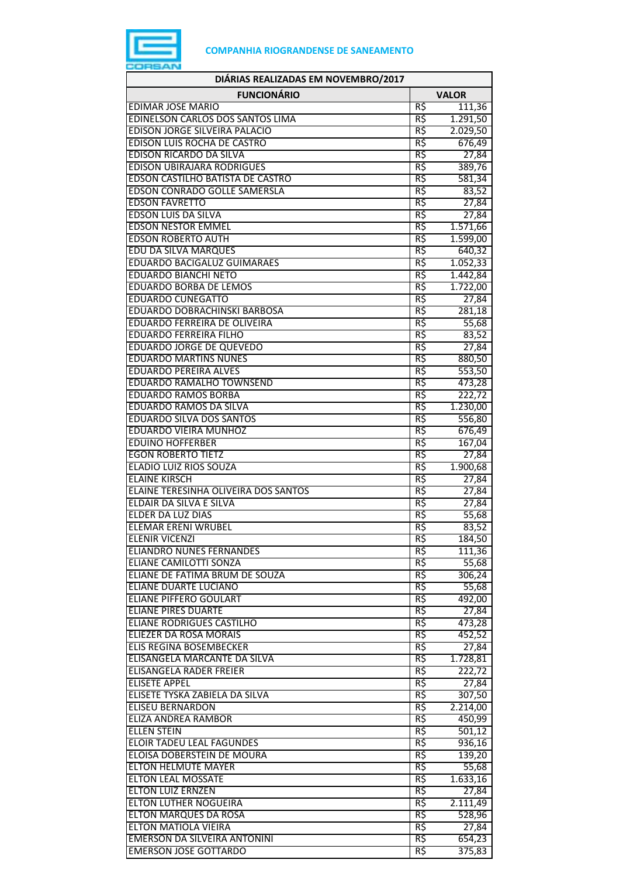

| DIÁRIAS REALIZADAS EM NOVEMBRO/2017                                   |            |                  |
|-----------------------------------------------------------------------|------------|------------------|
| <b>FUNCIONÁRIO</b>                                                    |            | <b>VALOR</b>     |
| <b>EDIMAR JOSE MARIO</b>                                              | R\$        | 111,36           |
| EDINELSON CARLOS DOS SANTOS LIMA                                      | R\$        | 1.291,50         |
| EDISON JORGE SILVEIRA PALACIO                                         | R\$        | 2.029,50         |
| <b>EDISON LUIS ROCHA DE CASTRO</b>                                    | R\$        | 676,49           |
| <b>EDISON RICARDO DA SILVA</b>                                        | R\$        | 27,84            |
| <b>EDISON UBIRAJARA RODRIGUES</b><br>EDSON CASTILHO BATISTA DE CASTRO | R\$<br>R\$ | 389,76<br>581,34 |
| EDSON CONRADO GOLLE SAMERSLA                                          | R\$        | 83,52            |
| <b>EDSON FAVRETTO</b>                                                 | R\$        | 27,84            |
| <b>EDSON LUIS DA SILVA</b>                                            | R\$        | 27,84            |
| <b>EDSON NESTOR EMMEL</b>                                             | R\$        | 1.571,66         |
| <b>EDSON ROBERTO AUTH</b>                                             | R\$        | 1.599,00         |
| EDU DA SILVA MARQUES                                                  | R\$        | 640,32           |
| <b>EDUARDO BACIGALUZ GUIMARAES</b>                                    | R\$        | 1.052,33         |
| <b>EDUARDO BIANCHI NETO</b>                                           | R\$        | 1.442,84         |
| <b>EDUARDO BORBA DE LEMOS</b>                                         | R\$        | 1.722,00         |
| <b>EDUARDO CUNEGATTO</b>                                              | R\$        | 27,84            |
| EDUARDO DOBRACHINSKI BARBOSA                                          | R\$        | 281,18           |
| EDUARDO FERREIRA DE OLIVEIRA<br><b>EDUARDO FERREIRA FILHO</b>         | R\$<br>R\$ | 55,68<br>83,52   |
| <b>EDUARDO JORGE DE QUEVEDO</b>                                       | R\$        | 27,84            |
| <b>EDUARDO MARTINS NUNES</b>                                          | R\$        | 880,50           |
| <b>EDUARDO PEREIRA ALVES</b>                                          | R\$        | 553,50           |
| <b>EDUARDO RAMALHO TOWNSEND</b>                                       | R\$        | 473,28           |
| <b>EDUARDO RAMOS BORBA</b>                                            | R\$        | 222,72           |
| EDUARDO RAMOS DA SILVA                                                | R\$        | 1.230,00         |
| <b>EDUARDO SILVA DOS SANTOS</b>                                       | R\$        | 556,80           |
| <b>EDUARDO VIEIRA MUNHOZ</b>                                          | R\$        | 676,49           |
| <b>EDUINO HOFFERBER</b>                                               | R\$        | 167,04           |
| <b>EGON ROBERTO TIETZ</b>                                             | R\$        | 27,84            |
| <b>ELADIO LUIZ RIOS SOUZA</b><br><b>ELAINE KIRSCH</b>                 | R\$<br>R\$ | 1.900,68         |
| ELAINE TERESINHA OLIVEIRA DOS SANTOS                                  | R\$        | 27,84<br>27,84   |
| ELDAIR DA SILVA E SILVA                                               | R\$        | 27,84            |
| <b>ELDER DA LUZ DIAS</b>                                              | R\$        | 55,68            |
| <b>ELEMAR ERENI WRUBEL</b>                                            | R\$        | 83,52            |
| ELENIR VICENZI                                                        | RŞ.        | 184,50           |
| <b>ELIANDRO NUNES FERNANDES</b>                                       | R\$        | 111,36           |
| ELIANE CAMILOTTI SONZA                                                | R\$        | 55,68            |
| ELIANE DE FATIMA BRUM DE SOUZA                                        | R\$        | 306,24           |
| ELIANE DUARTE LUCIANO<br><b>ELIANE PIFFERO GOULART</b>                | R\$<br>R\$ | 55,68<br>492,00  |
| <b>ELIANE PIRES DUARTE</b>                                            | R\$        | 27,84            |
| <b>ELIANE RODRIGUES CASTILHO</b>                                      | R\$        | 473,28           |
| <b>ELIEZER DA ROSA MORAIS</b>                                         | R\$        | 452,52           |
| <b>ELIS REGINA BOSEMBECKER</b>                                        | R\$        | 27,84            |
| ELISANGELA MARCANTE DA SILVA                                          | R\$        | 1.728,81         |
| ELISANGELA RADER FREIER                                               | R\$        | 222,72           |
| <b>ELISETE APPEL</b>                                                  | R\$        | 27,84            |
| ELISETE TYSKA ZABIELA DA SILVA                                        | R\$        | 307,50           |
| <b>ELISEU BERNARDON</b><br><b>ELIZA ANDREA RAMBOR</b>                 | R\$<br>R\$ | 2.214,00         |
| <b>ELLEN STEIN</b>                                                    | R\$        | 450,99<br>501,12 |
| <b>ELOIR TADEU LEAL FAGUNDES</b>                                      | R\$        | 936,16           |
| ELOISA DOBERSTEIN DE MOURA                                            | R\$        | 139,20           |
| <b>ELTON HELMUTE MAYER</b>                                            | R\$        | 55,68            |
| <b>ELTON LEAL MOSSATE</b>                                             | R\$        | 1.633,16         |
| <b>ELTON LUIZ ERNZEN</b>                                              | R\$        | 27,84            |
| <b>ELTON LUTHER NOGUEIRA</b>                                          | R\$        | 2.111,49         |
| <b>ELTON MARQUES DA ROSA</b>                                          | R\$        | 528,96           |
| <b>ELTON MATIOLA VIEIRA</b>                                           | R\$        | 27,84            |
| EMERSON DA SILVEIRA ANTONINI                                          | R\$        | 654,23           |
| <b>EMERSON JOSE GOTTARDO</b>                                          | R\$        | 375,83           |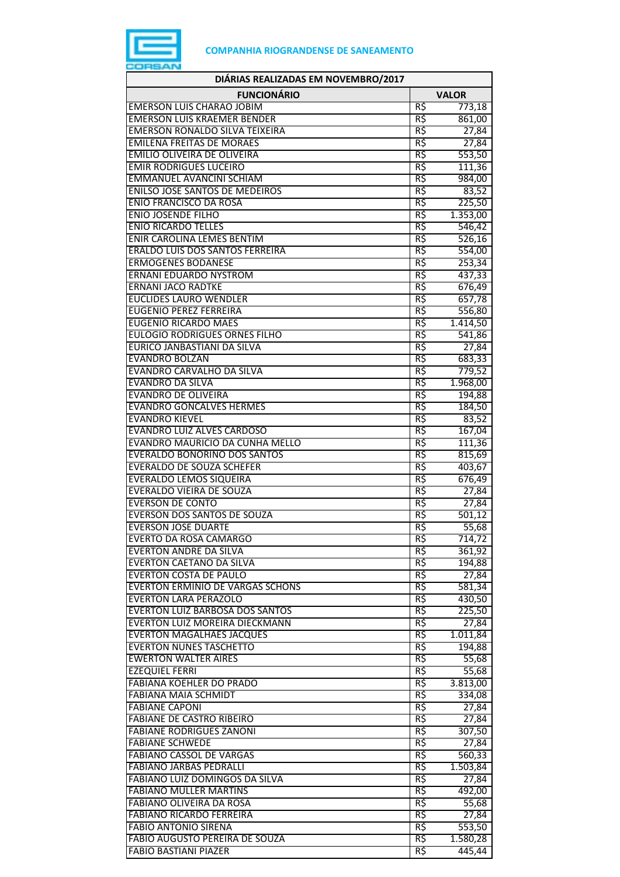

| DIÁRIAS REALIZADAS EM NOVEMBRO/2017                                 |              |                 |
|---------------------------------------------------------------------|--------------|-----------------|
| <b>FUNCIONÁRIO</b>                                                  | <b>VALOR</b> |                 |
| <b>EMERSON LUIS CHARAO JOBIM</b>                                    | R\$          | 773,18          |
| <b>EMERSON LUIS KRAEMER BENDER</b>                                  | R\$          | 861,00          |
| <b>EMERSON RONALDO SILVA TEIXEIRA</b>                               | R\$          | 27,84           |
| <b>EMILENA FREITAS DE MORAES</b>                                    | R\$          | 27,84           |
| EMILIO OLIVEIRA DE OLIVEIRA                                         | R\$          | 553,50          |
| <b>EMIR RODRIGUES LUCEIRO</b>                                       | R\$          | 111,36          |
| EMMANUEL AVANCINI SCHIAM                                            | R\$          | 984,00          |
| <b>ENILSO JOSE SANTOS DE MEDEIROS</b>                               | R\$          | 83,52           |
| <b>ENIO FRANCISCO DA ROSA</b>                                       | R\$          | 225,50          |
| <b>ENIO JOSENDE FILHO</b>                                           | R\$          | 1.353,00        |
| <b>ENIO RICARDO TELLES</b>                                          | R\$          | 546,42          |
| <b>ENIR CAROLINA LEMES BENTIM</b>                                   | R\$          | 526,16          |
| ERALDO LUIS DOS SANTOS FERREIRA                                     | R\$          | 554,00          |
| <b>ERMOGENES BODANESE</b>                                           | R\$          | 253,34          |
| <b>ERNANI EDUARDO NYSTROM</b>                                       | R\$          | 437,33          |
| <b>ERNANI JACO RADTKE</b>                                           | R\$          | 676,49          |
| <b>EUCLIDES LAURO WENDLER</b>                                       | R\$          | 657,78          |
| <b>EUGENIO PEREZ FERREIRA</b>                                       | R\$          | 556,80          |
| <b>EUGENIO RICARDO MAES</b>                                         | R\$          | 1.414,50        |
| <b>EULOGIO RODRIGUES ORNES FILHO</b><br>EURICO JANBASTIANI DA SILVA | R\$<br>R\$   | 541,86          |
|                                                                     |              | 27,84           |
| <b>EVANDRO BOLZAN</b>                                               | R\$          | 683,33          |
| EVANDRO CARVALHO DA SILVA<br>EVANDRO DA SILVA                       | R\$<br>R\$   | 779,52          |
| <b>EVANDRO DE OLIVEIRA</b>                                          | R\$          | 1.968,00        |
| <b>EVANDRO GONCALVES HERMES</b>                                     | R\$          | 194,88          |
| <b>EVANDRO KIEVEL</b>                                               | R\$          | 184,50<br>83,52 |
| <b>EVANDRO LUIZ ALVES CARDOSO</b>                                   | R\$          | 167,04          |
| EVANDRO MAURICIO DA CUNHA MELLO                                     | R\$          | 111,36          |
| <b>EVERALDO BONORINO DOS SANTOS</b>                                 | R\$          | 815,69          |
| <b>EVERALDO DE SOUZA SCHEFER</b>                                    | R\$          | 403,67          |
| <b>EVERALDO LEMOS SIQUEIRA</b>                                      | R\$          | 676,49          |
| <b>EVERALDO VIEIRA DE SOUZA</b>                                     | R\$          | 27,84           |
| <b>EVERSON DE CONTO</b>                                             | R\$          | 27,84           |
| <b>EVERSON DOS SANTOS DE SOUZA</b>                                  | R\$          | 501,12          |
| <b>EVERSON JOSE DUARTE</b>                                          | R\$          | 55,68           |
| <b>EVERTO DA ROSA CAMARGO</b>                                       | кş           | 14, 12          |
| <b>EVERTON ANDRE DA SILVA</b>                                       | R\$          | 361,92          |
| <b>EVERTON CAETANO DA SILVA</b>                                     | R\$          | 194,88          |
| <b>EVERTON COSTA DE PAULO</b>                                       | R\$          | 27,84           |
| EVERTON ERMINIO DE VARGAS SCHONS                                    | R\$          | 581,34          |
| <b>EVERTON LARA PERAZOLO</b>                                        | R\$          | 430,50          |
| EVERTON LUIZ BARBOSA DOS SANTOS                                     | R\$          | 225,50          |
| EVERTON LUIZ MOREIRA DIECKMANN                                      | R\$          | 27,84           |
| <b>EVERTON MAGALHAES JACQUES</b>                                    | R\$          | 1.011,84        |
| <b>EVERTON NUNES TASCHETTO</b>                                      | R\$          | 194,88          |
| <b>EWERTON WALTER AIRES</b>                                         | R\$          | 55,68           |
| <b>EZEQUIEL FERRI</b>                                               | R\$          | 55,68           |
| FABIANA KOEHLER DO PRADO                                            | R\$          | 3.813,00        |
| FABIANA MAIA SCHMIDT                                                | R\$          | 334,08          |
| <b>FABIANE CAPONI</b>                                               | R\$          | 27,84           |
| <b>FABIANE DE CASTRO RIBEIRO</b>                                    | R\$          | 27,84           |
| <b>FABIANE RODRIGUES ZANONI</b>                                     | R\$          | 307,50          |
| <b>FABIANE SCHWEDE</b>                                              | R\$          | 27,84           |
| <b>FABIANO CASSOL DE VARGAS</b>                                     | R\$          | 560,33          |
| <b>FABIANO JARBAS PEDRALLI</b>                                      | R\$          | 1.503,84        |
| FABIANO LUIZ DOMINGOS DA SILVA                                      | R\$          | 27,84           |
| <b>FABIANO MULLER MARTINS</b>                                       | R\$          | 492,00          |
| FABIANO OLIVEIRA DA ROSA                                            | R\$          | 55,68           |
| <b>FABIANO RICARDO FERREIRA</b>                                     | R\$          | 27,84           |
| <b>FABIO ANTONIO SIRENA</b>                                         | R\$          | 553,50          |
| FABIO AUGUSTO PEREIRA DE SOUZA                                      | R\$          | 1.580,28        |
| <b>FABIO BASTIANI PIAZER</b>                                        | R\$          | 445,44          |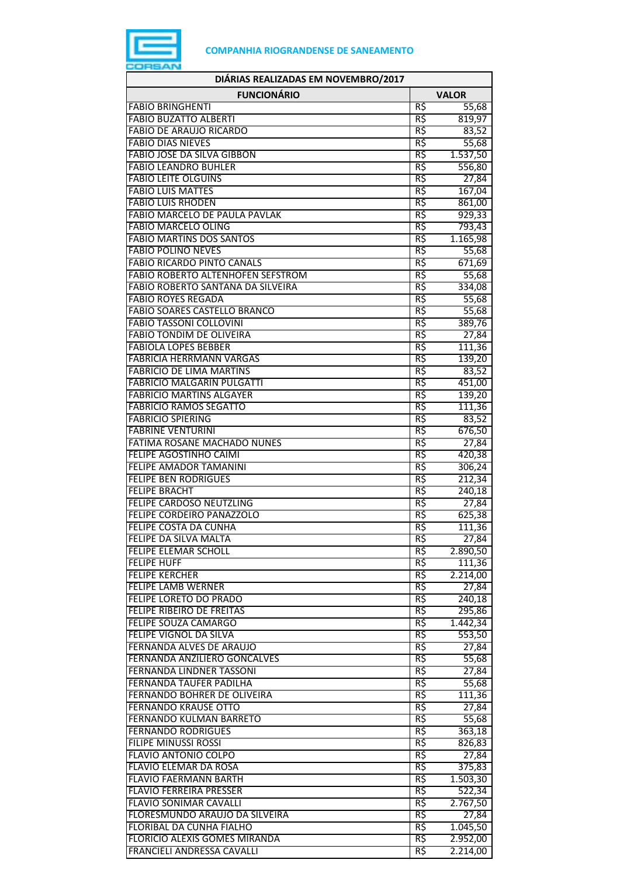

| DIÁRIAS REALIZADAS EM NOVEMBRO/2017                                |              |                   |
|--------------------------------------------------------------------|--------------|-------------------|
| <b>FUNCIONÁRIO</b>                                                 | <b>VALOR</b> |                   |
| <b>FABIO BRINGHENTI</b>                                            | R\$          | 55,68             |
| <b>FABIO BUZATTO ALBERTI</b>                                       | R\$          | 819,97            |
| <b>FABIO DE ARAUJO RICARDO</b>                                     | R\$          | 83,52             |
| <b>FABIO DIAS NIEVES</b>                                           | R\$          | 55,68             |
| <b>FABIO JOSE DA SILVA GIBBON</b>                                  | R\$          | 1.537,50          |
| <b>FABIO LEANDRO BUHLER</b><br><b>FABIO LEITE OLGUINS</b>          | R\$          | 556,80            |
| <b>FABIO LUIS MATTES</b>                                           | R\$<br>R\$   | 27,84<br>167,04   |
| <b>FABIO LUIS RHODEN</b>                                           | R\$          | 861,00            |
| <b>FABIO MARCELO DE PAULA PAVLAK</b>                               | R\$          | 929,33            |
| <b>FABIO MARCELO OLING</b>                                         | R\$          | 793,43            |
| <b>FABIO MARTINS DOS SANTOS</b>                                    | R\$          | 1.165,98          |
| <b>FABIO POLINO NEVES</b>                                          | R\$          | 55,68             |
| <b>FABIO RICARDO PINTO CANALS</b>                                  | R\$          | 671,69            |
| <b>FABIO ROBERTO ALTENHOFEN SEFSTROM</b>                           | R\$          | 55,68             |
| FABIO ROBERTO SANTANA DA SILVEIRA                                  | R\$          | 334,08            |
| <b>FABIO ROYES REGADA</b>                                          | R\$          | 55,68             |
| <b>FABIO SOARES CASTELLO BRANCO</b>                                | R\$          | 55,68             |
| <b>FABIO TASSONI COLLOVINI</b>                                     | R\$          | 389,76            |
| <b>FABIO TONDIM DE OLIVEIRA</b>                                    | R\$          | 27,84             |
| <b>FABIOLA LOPES BEBBER</b>                                        | R\$          | 111,36            |
| <b>FABRICIA HERRMANN VARGAS</b><br><b>FABRICIO DE LIMA MARTINS</b> | R\$<br>R\$   | 139,20<br>83,52   |
| <b>FABRICIO MALGARIN PULGATTI</b>                                  | R\$          | 451,00            |
| <b>FABRICIO MARTINS ALGAYER</b>                                    | R\$          | 139,20            |
| <b>FABRICIO RAMOS SEGATTO</b>                                      | R\$          | 111,36            |
| <b>FABRICIO SPIERING</b>                                           | R\$          | 83,52             |
| <b>FABRINE VENTURINI</b>                                           | R\$          | 676,50            |
| FATIMA ROSANE MACHADO NUNES                                        | R\$          | 27,84             |
| <b>FELIPE AGOSTINHO CAIMI</b>                                      | R\$          | 420,38            |
| <b>FELIPE AMADOR TAMANINI</b>                                      | R\$          | 306,24            |
| <b>FELIPE BEN RODRIGUES</b>                                        | R\$          | 212,34            |
| <b>FELIPE BRACHT</b>                                               | R\$          | 240,18            |
| FELIPE CARDOSO NEUTZLING                                           | R\$          | 27,84             |
| FELIPE CORDEIRO PANAZZOLO                                          | R\$          | 625,38            |
| <b>FELIPE COSTA DA CUNHA</b><br>FELIPE DA SILVA MALTA              | R\$          | 111,36            |
| <b>FELIPE ELEMAR SCHOLL</b>                                        | кş<br>R\$    | 27,84<br>2.890,50 |
| <b>FELIPE HUFF</b>                                                 | R\$          | 111,36            |
| <b>FELIPE KERCHER</b>                                              | R\$          | 2.214,00          |
| FELIPE LAMB WERNER                                                 | R\$          | 27,84             |
| FELIPE LORETO DO PRADO                                             | R\$          | 240,18            |
| FELIPE RIBEIRO DE FREITAS                                          | R\$          | 295,86            |
| <b>FELIPE SOUZA CAMARGO</b>                                        | R\$          | 1.442,34          |
| FELIPE VIGNOL DA SILVA                                             | R\$          | 553,50            |
| <b>FERNANDA ALVES DE ARAUJO</b>                                    | R\$          | 27,84             |
| <b>FERNANDA ANZILIERO GONCALVES</b>                                | R\$          | 55,68             |
| <b>FERNANDA LINDNER TASSONI</b>                                    | R\$          | 27,84             |
| FERNANDA TAUFER PADILHA                                            | R\$          | 55,68             |
| FERNANDO BOHRER DE OLIVEIRA<br><b>FERNANDO KRAUSE OTTO</b>         | R\$<br>R\$   | 111,36            |
| <b>FERNANDO KULMAN BARRETO</b>                                     | R\$          | 27,84<br>55,68    |
| <b>FERNANDO RODRIGUES</b>                                          | R\$          | 363,18            |
| <b>FILIPE MINUSSI ROSSI</b>                                        | R\$          | 826,83            |
| <b>FLAVIO ANTONIO COLPO</b>                                        | R\$          | 27,84             |
| FLAVIO ELEMAR DA ROSA                                              | R\$          | 375,83            |
| <b>FLAVIO FAERMANN BARTH</b>                                       | R\$          | 1.503,30          |
| <b>FLAVIO FERREIRA PRESSER</b>                                     | R\$          | 522,34            |
| <b>FLAVIO SONIMAR CAVALLI</b>                                      | R\$          | 2.767,50          |
| FLORESMUNDO ARAUJO DA SILVEIRA                                     | R\$          | 27,84             |
| <b>FLORIBAL DA CUNHA FIALHO</b>                                    | R\$          | 1.045,50          |
| FLORICIO ALEXIS GOMES MIRANDA                                      | R\$          | 2.952,00          |
| FRANCIELI ANDRESSA CAVALLI                                         | R\$          | 2.214,00          |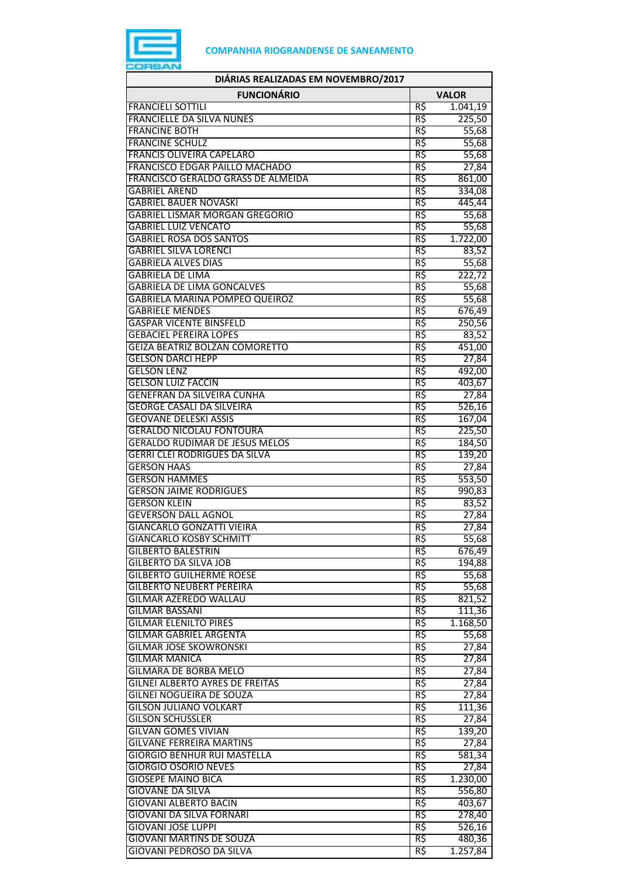

| DIÁRIAS REALIZADAS EM NOVEMBRO/2017                                    |            |                 |
|------------------------------------------------------------------------|------------|-----------------|
| <b>FUNCIONÁRIO</b>                                                     |            | <b>VALOR</b>    |
| <b>FRANCIELI SOTTILI</b>                                               | R\$        | 1.041,19        |
| <b>FRANCIELLE DA SILVA NUNES</b>                                       | R\$        | 225,50          |
| <b>FRANCINE BOTH</b>                                                   | R\$        | 55,68           |
| <b>FRANCINE SCHULZ</b>                                                 | R\$        | 55,68           |
| <b>FRANCIS OLIVEIRA CAPELARO</b>                                       | R\$        | 55,68           |
| FRANCISCO EDGAR PAILLO MACHADO                                         | R\$        | 27,84           |
| FRANCISCO GERALDO GRASS DE ALMEIDA                                     | R\$        | 861,00          |
| <b>GABRIEL AREND</b>                                                   | R\$        | 334,08          |
| <b>GABRIEL BAUER NOVASKI</b>                                           | R\$        | 445,44          |
| <b>GABRIEL LISMAR MORGAN GREGORIO</b>                                  | R\$        | 55,68           |
| <b>GABRIEL LUIZ VENCATO</b>                                            | R\$        | 55,68           |
| <b>GABRIEL ROSA DOS SANTOS</b>                                         | R\$        | 1.722,00        |
| <b>GABRIEL SILVA LORENCI</b>                                           | R\$        | 83,52           |
| <b>GABRIELA ALVES DIAS</b>                                             | R\$        | 55,68           |
| <b>GABRIELA DE LIMA</b>                                                | R\$        | 222,72          |
| <b>GABRIELA DE LIMA GONCALVES</b>                                      | R\$        | 55,68           |
| <b>GABRIELA MARINA POMPEO QUEIROZ</b>                                  | R\$        | 55,68           |
| <b>GABRIELE MENDES</b>                                                 | R\$        | 676,49          |
| <b>GASPAR VICENTE BINSFELD</b>                                         | R\$        | 250,56          |
| <b>GEBACIEL PEREIRA LOPES</b><br><b>GEIZA BEATRIZ BOLZAN COMORETTO</b> | R\$<br>R\$ | 83,52           |
|                                                                        |            | 451,00          |
| <b>GELSON DARCI HEPP</b>                                               | R\$        | 27,84           |
| <b>GELSON LENZ</b><br><b>GELSON LUIZ FACCIN</b>                        | R\$<br>R\$ | 492,00          |
| <b>GENEFRAN DA SILVEIRA CUNHA</b>                                      | R\$        | 403,67          |
| <b>GEORGE CASALI DA SILVEIRA</b>                                       | R\$        | 27,84<br>526,16 |
| <b>GEOVANE DELESKI ASSIS</b>                                           | R\$        | 167,04          |
| <b>GERALDO NICOLAU FONTOURA</b>                                        | R\$        | 225,50          |
| <b>GERALDO RUDIMAR DE JESUS MELOS</b>                                  | R\$        | 184,50          |
| <b>GERRI CLEI RODRIGUES DA SILVA</b>                                   | R\$        | 139,20          |
| <b>GERSON HAAS</b>                                                     | R\$        | 27,84           |
| <b>GERSON HAMMES</b>                                                   | R\$        | 553,50          |
| <b>GERSON JAIME RODRIGUES</b>                                          | R\$        | 990,83          |
| <b>GERSON KLEIN</b>                                                    | R\$        | 83,52           |
| <b>GEVERSON DALL AGNOL</b>                                             | R\$        | 27,84           |
| <b>GIANCARLO GONZATTI VIEIRA</b>                                       | R\$        | 27,84           |
| <b>GIANCARLO KOSBY SCHMITT</b>                                         | кş         | 55,68           |
| <b>GILBERTO BALESTRIN</b>                                              | R\$        | 676,49          |
| <b>GILBERTO DA SILVA JOB</b>                                           | R\$        | 194,88          |
| <b>GILBERTO GUILHERME ROESE</b>                                        | R\$        | 55,68           |
| <b>GILBERTO NEUBERT PEREIRA</b>                                        | R\$        | 55,68           |
| <b>GILMAR AZEREDO WALLAU</b>                                           | R\$        | 821,52          |
| GILMAR BASSANI                                                         | R\$        | 111,36          |
| <b>GILMAR ELENILTO PIRES</b>                                           | R\$        | 1.168,50        |
| <b>GILMAR GABRIEL ARGENTA</b>                                          | R\$        | 55,68           |
| <b>GILMAR JOSE SKOWRONSKI</b>                                          | R\$        | 27,84           |
| <b>GILMAR MANICA</b>                                                   | R\$        | 27,84           |
| <b>GILMARA DE BORBA MELO</b>                                           | R\$        | 27,84           |
| GILNEI ALBERTO AYRES DE FREITAS                                        | R\$        | 27,84           |
| GILNEI NOGUEIRA DE SOUZA                                               | R\$        | 27,84           |
| <b>GILSON JULIANO VOLKART</b>                                          | R\$        | 111,36          |
| <b>GILSON SCHUSSLER</b>                                                | R\$        | 27,84           |
| <b>GILVAN GOMES VIVIAN</b>                                             | R\$        | 139,20          |
| <b>GILVANE FERREIRA MARTINS</b>                                        | R\$        | 27,84           |
| <b>GIORGIO BENHUR RUI MASTELLA</b>                                     | R\$        | 581,34          |
| <b>GIORGIO OSORIO NEVES</b>                                            | R\$        | 27,84           |
| <b>GIOSEPE MAINO BICA</b>                                              | R\$        | 1.230,00        |
| <b>GIOVANE DA SILVA</b>                                                | R\$        | 556,80          |
| <b>GIOVANI ALBERTO BACIN</b>                                           | R\$        | 403,67          |
| GIOVANI DA SILVA FORNARI                                               | R\$        | 278,40          |
| <b>GIOVANI JOSE LUPPI</b>                                              | R\$        | 526,16          |
| GIOVANI MARTINS DE SOUZA                                               | R\$        | 480,36          |
| GIOVANI PEDROSO DA SILVA                                               | R\$        | 1.257,84        |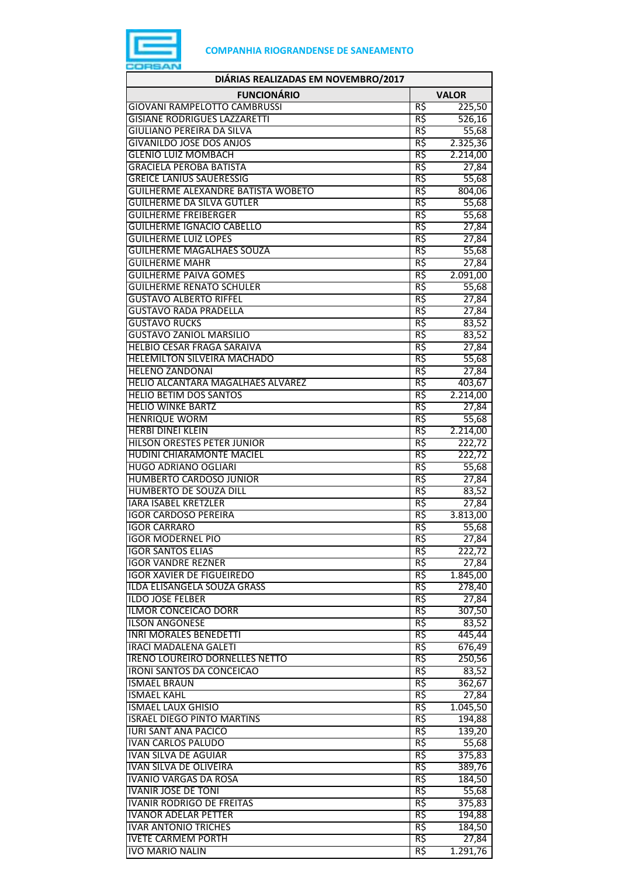

| DIÁRIAS REALIZADAS EM NOVEMBRO/2017                                     |              |                   |
|-------------------------------------------------------------------------|--------------|-------------------|
| <b>FUNCIONÁRIO</b>                                                      | <b>VALOR</b> |                   |
| <b>GIOVANI RAMPELOTTO CAMBRUSSI</b>                                     | R\$          | 225,50            |
| <b>GISIANE RODRIGUES LAZZARETTI</b>                                     | R\$          | 526,16            |
| <b>GIULIANO PEREIRA DA SILVA</b>                                        | R\$          | 55,68             |
| <b>GIVANILDO JOSE DOS ANJOS</b>                                         | R\$          | 2.325,36          |
| <b>GLENIO LUIZ MOMBACH</b>                                              | R\$          | 2.214,00          |
| <b>GRACIELA PEROBA BATISTA</b><br><b>GREICE LANIUS SAUERESSIG</b>       | R\$          | 27,84             |
| <b>GUILHERME ALEXANDRE BATISTA WOBETO</b>                               | R\$<br>R\$   | 55,68<br>804,06   |
| <b>GUILHERME DA SILVA GUTLER</b>                                        | R\$          | 55,68             |
| <b>GUILHERME FREIBERGER</b>                                             | R\$          | 55,68             |
| <b>GUILHERME IGNACIO CABELLO</b>                                        | R\$          | 27,84             |
| <b>GUILHERME LUIZ LOPES</b>                                             | R\$          | 27,84             |
| <b>GUILHERME MAGALHAES SOUZA</b>                                        | R\$          | 55,68             |
| <b>GUILHERME MAHR</b>                                                   | R\$          | 27,84             |
| <b>GUILHERME PAIVA GOMES</b>                                            | R\$          | 2.091,00          |
| <b>GUILHERME RENATO SCHULER</b>                                         | R\$          | 55,68             |
| <b>GUSTAVO ALBERTO RIFFEL</b>                                           | R\$          | 27,84             |
| <b>GUSTAVO RADA PRADELLA</b>                                            | R\$          | 27,84             |
| <b>GUSTAVO RUCKS</b>                                                    | R\$          | 83,52             |
| <b>GUSTAVO ZANIOL MARSILIO</b>                                          | R\$          | 83,52             |
| <b>HELBIO CESAR FRAGA SARAIVA</b><br><b>HELEMILTON SILVEIRA MACHADO</b> | R\$<br>R\$   | 27,84             |
| <b>HELENO ZANDONAI</b>                                                  | R\$          | 55,68<br>27,84    |
| <b>HELIO ALCANTARA MAGALHAES ALVAREZ</b>                                | R\$          | 403,67            |
| <b>HELIO BETIM DOS SANTOS</b>                                           | R\$          | 2.214,00          |
| <b>HELIO WINKE BARTZ</b>                                                | R\$          | 27,84             |
| <b>HENRIQUE WORM</b>                                                    | R\$          | 55,68             |
| <b>HERBI DINEI KLEIN</b>                                                | R\$          | 2.214,00          |
| <b>HILSON ORESTES PETER JUNIOR</b>                                      | R\$          | 222,72            |
| HUDINI CHIARAMONTE MACIEL                                               | R\$          | 222,72            |
| <b>HUGO ADRIANO OGLIARI</b>                                             | R\$          | 55,68             |
| <b>HUMBERTO CARDOSO JUNIOR</b>                                          | R\$          | 27,84             |
| HUMBERTO DE SOUZA DILL                                                  | R\$          | 83,52             |
| <b>IARA ISABEL KRETZLER</b>                                             | R\$          | 27,84             |
| <b>IGOR CARDOSO PEREIRA</b><br><b>IGOR CARRARO</b>                      | R\$<br>R\$   | 3.813,00<br>55,68 |
| IGOR MODERNEL PIO                                                       |              | 27,84             |
| <b>IGOR SANTOS ELIAS</b>                                                | RŞ<br>R\$    | 222,72            |
| <b>IGOR VANDRE REZNER</b>                                               | R\$          | 27,84             |
| <b>IGOR XAVIER DE FIGUEIREDO</b>                                        | R\$          | 1.845,00          |
| ILDA ELISANGELA SOUZA GRASS                                             | R\$          | 278,40            |
| <b>ILDO JOSE FELBER</b>                                                 | R\$          | 27,84             |
| ILMOR CONCEICAO DORR                                                    | R\$          | 307,50            |
| <b>ILSON ANGONESE</b>                                                   | R\$          | 83,52             |
| <b>INRI MORALES BENEDETTI</b>                                           | R\$          | 445,44            |
| <b>IRACI MADALENA GALETI</b>                                            | R\$          | 676,49            |
| <b>IRENO LOUREIRO DORNELLES NETTO</b>                                   | R\$          | 250,56            |
| <b>IRONI SANTOS DA CONCEICAO</b>                                        | R\$          | 83,52             |
| <b>ISMAEL BRAUN</b><br><b>ISMAEL KAHL</b>                               | R\$<br>R\$   | 362,67            |
| <b>ISMAEL LAUX GHISIO</b>                                               | R\$          | 27,84<br>1.045,50 |
| <b>ISRAEL DIEGO PINTO MARTINS</b>                                       | R\$          | 194,88            |
| <b>IURI SANT ANA PACICO</b>                                             | R\$          | 139,20            |
| <b>IVAN CARLOS PALUDO</b>                                               | R\$          | 55,68             |
| <b>IVAN SILVA DE AGUIAR</b>                                             | R\$          | 375,83            |
| IVAN SILVA DE OLIVEIRA                                                  | R\$          | 389,76            |
| <b>IVANIO VARGAS DA ROSA</b>                                            | R\$          | 184,50            |
| <b>IVANIR JOSE DE TONI</b>                                              | R\$          | 55,68             |
| <b>IVANIR RODRIGO DE FREITAS</b>                                        | R\$          | 375,83            |
| <b>IVANOR ADELAR PETTER</b>                                             | R\$          | 194,88            |
| <b>IVAR ANTONIO TRICHES</b>                                             | R\$          | 184,50            |
| <b>IVETE CARMEM PORTH</b><br>IVO MARIO NALIN                            | R\$<br>R\$   | 27,84             |
|                                                                         |              | 1.291,76          |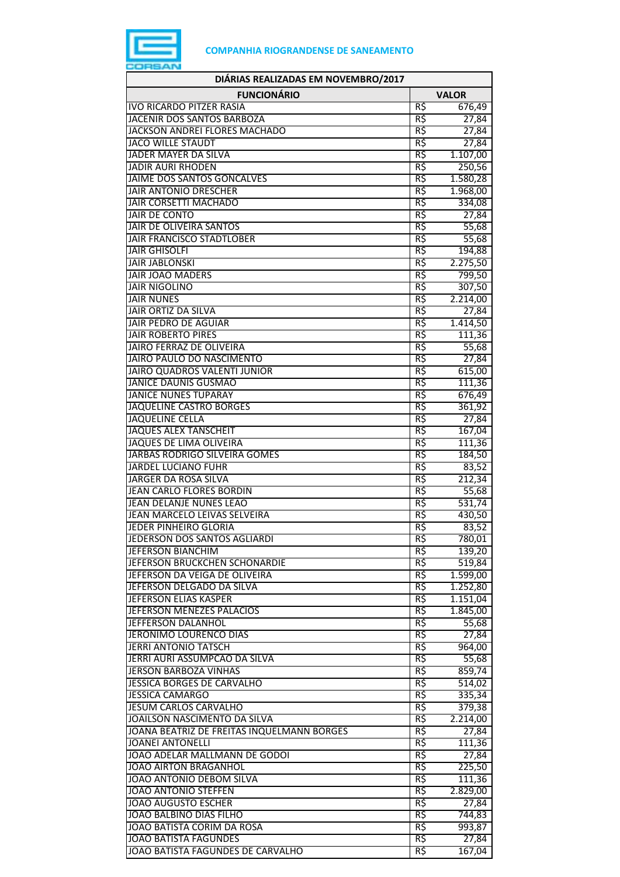

| DIÁRIAS REALIZADAS EM NOVEMBRO/2017                          |            |                 |
|--------------------------------------------------------------|------------|-----------------|
| <b>FUNCIONÁRIO</b>                                           |            | <b>VALOR</b>    |
| <b>IVO RICARDO PITZER RASIA</b>                              | R\$        | 676,49          |
| <b>JACENIR DOS SANTOS BARBOZA</b>                            | R\$        | 27,84           |
| JACKSON ANDREI FLORES MACHADO                                | R\$        | 27,84           |
| <b>JACO WILLE STAUDT</b>                                     | R\$        | 27,84           |
| JADER MAYER DA SILVA                                         | R\$        | 1.107,00        |
| <b>JADIR AURI RHODEN</b>                                     | R\$        | 250,56          |
| JAIME DOS SANTOS GONCALVES                                   | R\$        | 1.580,28        |
| <b>JAIR ANTONIO DRESCHER</b><br><b>JAIR CORSETTI MACHADO</b> | R\$        | 1.968,00        |
| <b>JAIR DE CONTO</b>                                         | R\$<br>R\$ | 334,08<br>27,84 |
| JAIR DE OLIVEIRA SANTOS                                      | R\$        | 55,68           |
| <b>JAIR FRANCISCO STADTLOBER</b>                             | R\$        | 55,68           |
| <b>JAIR GHISOLFI</b>                                         | R\$        | 194,88          |
| <b>JAIR JABLONSKI</b>                                        | R\$        | 2.275,50        |
| <b>JAIR JOAO MADERS</b>                                      | R\$        | 799,50          |
| <b>JAIR NIGOLINO</b>                                         | R\$        | 307,50          |
| <b>JAIR NUNES</b>                                            | R\$        | 2.214,00        |
| <b>JAIR ORTIZ DA SILVA</b>                                   | R\$        | 27,84           |
| <b>JAIR PEDRO DE AGUIAR</b>                                  | R\$        | 1.414,50        |
| <b>JAIR ROBERTO PIRES</b>                                    | R\$        | 111,36          |
| <b>JAIRO FERRAZ DE OLIVEIRA</b>                              | R\$        | 55,68           |
| JAIRO PAULO DO NASCIMENTO                                    | R\$        | 27,84           |
| JAIRO QUADROS VALENTI JUNIOR                                 | R\$        | 615,00          |
| <b>JANICE DAUNIS GUSMAO</b>                                  | R\$        | 111,36          |
| <b>JANICE NUNES TUPARAY</b>                                  | R\$        | 676,49          |
| <b>JAQUELINE CASTRO BORGES</b>                               | R\$        | 361,92          |
| <b>JAQUELINE CELLA</b>                                       | R\$        | 27,84           |
| <b>JAQUES ALEX TANSCHEIT</b>                                 | R\$        | 167,04          |
| <b>JAQUES DE LIMA OLIVEIRA</b>                               | R\$        | 111,36          |
| JARBAS RODRIGO SILVEIRA GOMES                                | R\$        | 184,50          |
| <b>JARDEL LUCIANO FUHR</b>                                   | R\$        | 83,52           |
| JARGER DA ROSA SILVA                                         | R\$        | 212,34          |
| <b>JEAN CARLO FLORES BORDIN</b>                              | R\$        | 55,68           |
| JEAN DELANJE NUNES LEAO                                      | R\$        | 531,74          |
| JEAN MARCELO LEIVAS SELVEIRA                                 | R\$<br>R\$ | 430,50          |
| <b>JEDER PINHEIRO GLORIA</b><br>JEDERSON DOS SANTOS AGLIARDI | R\$        | 83,52<br>780,01 |
| JEFERSON BIANCHIM                                            | R\$        | 139,20          |
| JEFERSON BRUCKCHEN SCHONARDIE                                | R\$        | 519,84          |
| JEFERSON DA VEIGA DE OLIVEIRA                                | R\$        | 1.599,00        |
| JEFERSON DELGADO DA SILVA                                    | R\$        | 1.252,80        |
| <b>JEFERSON ELIAS KASPER</b>                                 | R\$        | 1.151,04        |
| JEFERSON MENEZES PALACIOS                                    | R\$        | 1.845,00        |
| JEFFERSON DALANHOL                                           | R\$        | 55,68           |
| JERONIMO LOURENCO DIAS                                       | R\$        | 27,84           |
| <b>JERRI ANTONIO TATSCH</b>                                  | R\$        | 964,00          |
| JERRI AURI ASSUMPCAO DA SILVA                                | R\$        | 55,68           |
| <b>JERSON BARBOZA VINHAS</b>                                 | R\$        | 859,74          |
| JESSICA BORGES DE CARVALHO                                   | R\$        | 514,02          |
| <b>JESSICA CAMARGO</b>                                       | R\$        | 335,34          |
| <b>JESUM CARLOS CARVALHO</b>                                 | R\$        | 379,38          |
| JOAILSON NASCIMENTO DA SILVA                                 | R\$        | 2.214,00        |
| JOANA BEATRIZ DE FREITAS INQUELMANN BORGES                   | R\$        | 27,84           |
| <b>JOANEI ANTONELLI</b>                                      | R\$        | 111,36          |
| JOAO ADELAR MALLMANN DE GODOI                                | R\$        | 27,84           |
| <b>JOAO AIRTON BRAGANHOL</b>                                 | R\$        | 225,50          |
| JOAO ANTONIO DEBOM SILVA                                     | R\$        | 111,36          |
| <b>JOAO ANTONIO STEFFEN</b>                                  | R\$        | 2.829,00        |
| <b>JOAO AUGUSTO ESCHER</b>                                   | R\$        | 27,84           |
| JOAO BALBINO DIAS FILHO                                      | R\$        | 744,83          |
| JOAO BATISTA CORIM DA ROSA                                   | R\$        | 993,87          |
| <b>JOAO BATISTA FAGUNDES</b>                                 | R\$        | 27,84           |
| JOAO BATISTA FAGUNDES DE CARVALHO                            | R\$        | 167,04          |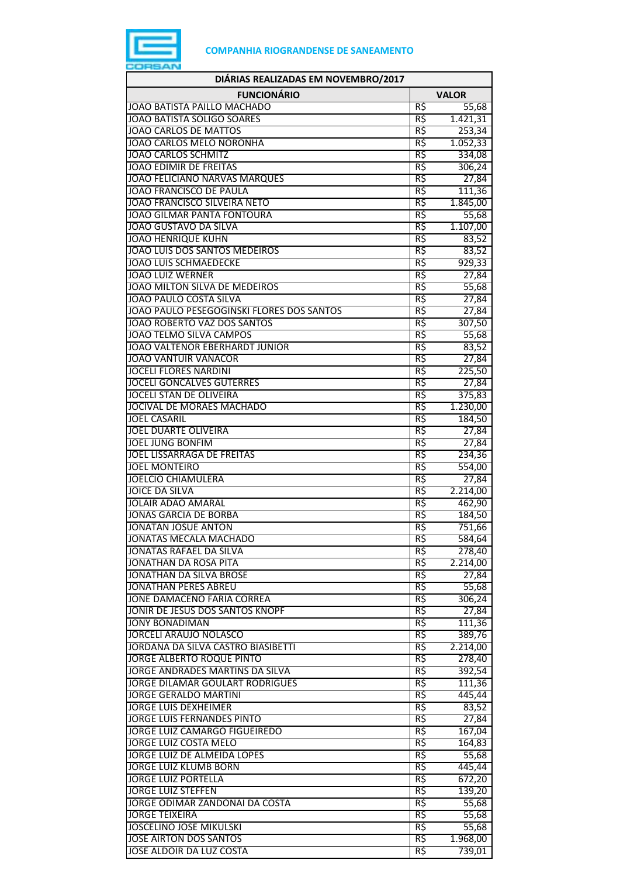

| DIÁRIAS REALIZADAS EM NOVEMBRO/2017                                  |                 |                    |
|----------------------------------------------------------------------|-----------------|--------------------|
| <b>FUNCIONÁRIO</b>                                                   | <b>VALOR</b>    |                    |
| JOAO BATISTA PAILLO MACHADO                                          | R\$             | 55,68              |
| JOAO BATISTA SOLIGO SOARES                                           | R\$             | 1.421,31           |
| <b>JOAO CARLOS DE MATTOS</b>                                         | R\$             | 253,34             |
| JOAO CARLOS MELO NORONHA                                             | R\$             | 1.052,33           |
| <b>JOAO CARLOS SCHMITZ</b>                                           | R\$             | 334,08             |
| <b>JOAO EDIMIR DE FREITAS</b>                                        | R\$             | 306,24             |
| <b>JOAO FELICIANO NARVAS MARQUES</b><br>JOAO FRANCISCO DE PAULA      | R\$<br>R\$      | 27,84<br>111,36    |
| <b>JOAO FRANCISCO SILVEIRA NETO</b>                                  | R\$             | 1.845,00           |
| <b>JOAO GILMAR PANTA FONTOURA</b>                                    | R\$             | 55,68              |
| JOAO GUSTAVO DA SILVA                                                | R\$             | 1.107,00           |
| JOAO HENRIQUE KUHN                                                   | R\$             | 83,52              |
| JOAO LUIS DOS SANTOS MEDEIROS                                        | R\$             | 83,52              |
| <b>JOAO LUIS SCHMAEDECKE</b>                                         | R\$             | 929,33             |
| <b>JOAO LUIZ WERNER</b>                                              | R\$             | 27,84              |
| JOAO MILTON SILVA DE MEDEIROS                                        | R\$             | 55,68              |
| <b>JOAO PAULO COSTA SILVA</b>                                        | R\$             | 27,84              |
| JOAO PAULO PESEGOGINSKI FLORES DOS SANTOS                            | R\$             | 27,84              |
| JOAO ROBERTO VAZ DOS SANTOS                                          | R\$             | 307,50             |
| JOAO TELMO SILVA CAMPOS                                              | R\$             | 55,68              |
| <b>JOAO VALTENOR EBERHARDT JUNIOR</b><br><b>JOAO VANTUIR VANACOR</b> | R\$<br>R\$      | 83,52              |
| <b>JOCELI FLORES NARDINI</b>                                         | R\$             | 27,84<br>225,50    |
| <b>JOCELI GONCALVES GUTERRES</b>                                     | R\$             | 27,84              |
| <b>JOCELI STAN DE OLIVEIRA</b>                                       | R\$             | 375,83             |
| JOCIVAL DE MORAES MACHADO                                            | R\$             | 1.230,00           |
| <b>JOEL CASARIL</b>                                                  | R\$             | 184,50             |
| <b>JOEL DUARTE OLIVEIRA</b>                                          | R\$             | 27,84              |
| <b>JOEL JUNG BONFIM</b>                                              | R\$             | 27,84              |
| JOEL LISSARRAGA DE FREITAS                                           | R\$             | 234,36             |
| <b>JOEL MONTEIRO</b>                                                 | R\$             | 554,00             |
| <b>JOELCIO CHIAMULERA</b>                                            | R\$             | 27,84              |
| <b>JOICE DA SILVA</b>                                                | R\$             | 2.214,00           |
| <b>JOLAIR ADAO AMARAL</b><br><b>JONAS GARCIA DE BORBA</b>            | R\$<br>R\$      | 462,90             |
| JONATAN JOSUE ANTON                                                  | R\$             | 184,50<br>751,66   |
| JONATAS MECALA MACHADO                                               | RŞ.             | 584,64             |
| JONATAS RAFAEL DA SILVA                                              | R\$             | 278,40             |
| JONATHAN DA ROSA PITA                                                | R\$             | 2.214,00           |
| <b>JONATHAN DA SILVA BROSE</b>                                       | R\$             | 27,84              |
| JONATHAN PERES ABREU                                                 | R\$             | 55,68              |
| JONE DAMACENO FARIA CORREA                                           | R\$             | 306,24             |
| JONIR DE JESUS DOS SANTOS KNOPF                                      | R\$             | 27,84              |
| <b>JONY BONADIMAN</b>                                                | R\$             | 111,36             |
| JORCELI ARAUJO NOLASCO                                               | R\$             | 389,76             |
| JORDANA DA SILVA CASTRO BIASIBETTI<br>JORGE ALBERTO ROQUE PINTO      | R\$             | 2.214,00           |
| JORGE ANDRADES MARTINS DA SILVA                                      | R\$<br>R\$      | 278,40<br>392,54   |
| <b>JORGE DILAMAR GOULART RODRIGUES</b>                               | R\$             | 111,36             |
| JORGE GERALDO MARTINI                                                | $R\overline{S}$ | 445,44             |
| <b>JORGE LUIS DEXHEIMER</b>                                          | R\$             | 83,52              |
| <b>JORGE LUIS FERNANDES PINTO</b>                                    | R\$             | 27,84              |
| JORGE LUIZ CAMARGO FIGUEIREDO                                        | R\$             | 167,04             |
| <b>JORGE LUIZ COSTA MELO</b>                                         | R\$             | 164,83             |
| JORGE LUIZ DE ALMEIDA LOPES                                          | R\$             | 55,68              |
| <b>JORGE LUIZ KLUMB BORN</b>                                         | $R\zeta$        | 445,44             |
| <b>JORGE LUIZ PORTELLA</b>                                           | R\$             | 672,20             |
| <b>JORGE LUIZ STEFFEN</b>                                            | R\$             | 139,20             |
| JORGE ODIMAR ZANDONAI DA COSTA                                       | R\$             | 55,68              |
| <b>JORGE TEIXEIRA</b>                                                | R\$             | 55,68              |
| <b>JOSCELINO JOSE MIKULSKI</b>                                       | R\$             | 55,68              |
| <b>JOSE AIRTON DOS SANTOS</b><br>JOSE ALDOIR DA LUZ COSTA            | R\$<br>R\$      | 1.968,00<br>739,01 |
|                                                                      |                 |                    |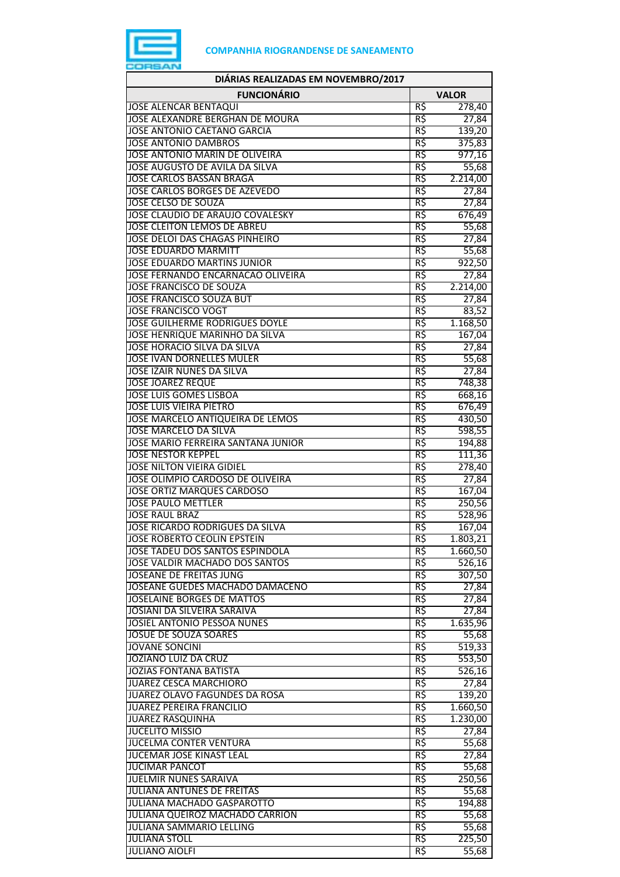

| DIÁRIAS REALIZADAS EM NOVEMBRO/2017                                       |            |                                 |
|---------------------------------------------------------------------------|------------|---------------------------------|
| <b>FUNCIONÁRIO</b>                                                        |            | <b>VALOR</b>                    |
| <b>JOSE ALENCAR BENTAQUI</b>                                              | R\$        | 278,40                          |
| JOSE ALEXANDRE BERGHAN DE MOURA                                           | R\$        | 27,84                           |
| <b>JOSE ANTONIO CAETANO GARCIA</b>                                        | R\$        | 139,20                          |
| <b>JOSE ANTONIO DAMBROS</b>                                               | R\$        | 375,83                          |
| JOSE ANTONIO MARIN DE OLIVEIRA                                            | R\$        | 977,16                          |
| JOSE AUGUSTO DE AVILA DA SILVA<br><b>JOSE CARLOS BASSAN BRAGA</b>         | R\$<br>R\$ | 55,68<br>2.214,00               |
| <b>JOSE CARLOS BORGES DE AZEVEDO</b>                                      | R\$        | 27,84                           |
| <b>JOSE CELSO DE SOUZA</b>                                                | R\$        | 27,84                           |
| JOSE CLAUDIO DE ARAUJO COVALESKY                                          | R\$        | 676,49                          |
| JOSE CLEITON LEMOS DE ABREU                                               | R\$        | 55,68                           |
| JOSE DELOI DAS CHAGAS PINHEIRO                                            | R\$        | 27,84                           |
| <b>JOSE EDUARDO MARMITT</b>                                               | R\$        | 55,68                           |
| <b>JOSE EDUARDO MARTINS JUNIOR</b>                                        | R\$        | 922,50                          |
| JOSE FERNANDO ENCARNACAO OLIVEIRA                                         | R\$        | 27,84                           |
| <b>JOSE FRANCISCO DE SOUZA</b>                                            | R\$        | 2.214,00                        |
| <b>JOSE FRANCISCO SOUZA BUT</b><br><b>JOSE FRANCISCO VOGT</b>             | R\$        | 27,84                           |
| <b>JOSE GUILHERME RODRIGUES DOYLE</b>                                     | R\$<br>R\$ | 83,52<br>1.168,50               |
| JOSE HENRIQUE MARINHO DA SILVA                                            | R\$        | 167,04                          |
| JOSE HORACIO SILVA DA SILVA                                               | R\$        | 27,84                           |
| <b>JOSE IVAN DORNELLES MULER</b>                                          | R\$        | 55,68                           |
| <b>JOSE IZAIR NUNES DA SILVA</b>                                          | R\$        | 27,84                           |
| <b>JOSE JOAREZ REQUE</b>                                                  | R\$        | 748,38                          |
| <b>JOSE LUIS GOMES LISBOA</b>                                             | R\$        | 668,16                          |
| <b>JOSE LUIS VIEIRA PIETRO</b>                                            | R\$        | 676,49                          |
| JOSE MARCELO ANTIQUEIRA DE LEMOS                                          | R\$        | 430,50                          |
| <b>JOSE MARCELO DA SILVA</b><br><b>JOSE MARIO FERREIRA SANTANA JUNIOR</b> | R\$<br>R\$ | 598,55                          |
| <b>JOSE NESTOR KEPPEL</b>                                                 | R\$        | 194,88<br>111,36                |
| <b>JOSE NILTON VIEIRA GIDIEL</b>                                          | R\$        | 278,40                          |
| JOSE OLIMPIO CARDOSO DE OLIVEIRA                                          | R\$        | 27,84                           |
| <b>JOSE ORTIZ MARQUES CARDOSO</b>                                         | R\$        | 167,04                          |
| <b>JOSE PAULO METTLER</b>                                                 | R\$        | 250,56                          |
| <b>JOSE RAUL BRAZ</b>                                                     | R\$        | 528,96                          |
| JOSE RICARDO RODRIGUES DA SILVA                                           | R\$        | 167,04                          |
| <b>JOSE ROBERTO CEOLIN EPSTEIN</b>                                        | R\$        | 1.803,21                        |
| JOSE TADEU DOS SANTOS ESPINDOLA<br><b>JOSE VALDIR MACHADO DOS SANTOS</b>  | R\$<br>R\$ | 1.660,50<br>$\overline{526,16}$ |
| <b>JOSEANE DE FREITAS JUNG</b>                                            | R\$        | 307,50                          |
| JOSEANE GUEDES MACHADO DAMACENO                                           | R\$        | 27,84                           |
| <b>JOSELAINE BORGES DE MATTOS</b>                                         | R\$        | 27,84                           |
| JOSIANI DA SILVEIRA SARAIVA                                               | R\$        | 27,84                           |
| <b>JOSIEL ANTONIO PESSOA NUNES</b>                                        | R\$        | 1.635,96                        |
| JOSUE DE SOUZA SOARES                                                     | R\$        | 55,68                           |
| <b>JOVANE SONCINI</b>                                                     | R\$        | 519,33                          |
| <b>JOZIANO LUIZ DA CRUZ</b>                                               | R\$        | 553,50                          |
| <b>JOZIAS FONTANA BATISTA</b>                                             | R\$<br>R\$ | 526,16                          |
| JUAREZ CESCA MARCHIORO<br>JUAREZ OLAVO FAGUNDES DA ROSA                   | R\$        | 27,84<br>139,20                 |
| <b>JUAREZ PEREIRA FRANCILIO</b>                                           | R\$        | 1.660,50                        |
| <b>JUAREZ RASQUINHA</b>                                                   | R\$        | 1.230,00                        |
| <b>JUCELITO MISSIO</b>                                                    | R\$        | 27,84                           |
| <b>JUCELMA CONTER VENTURA</b>                                             | R\$        | 55,68                           |
| <b>JUCEMAR JOSE KINAST LEAL</b>                                           | R\$        | 27,84                           |
| <b>JUCIMAR PANCOT</b>                                                     | R\$        | 55,68                           |
| <b>JUELMIR NUNES SARAIVA</b>                                              | R\$        | 250,56                          |
| <b>JULIANA ANTUNES DE FREITAS</b><br><b>JULIANA MACHADO GASPAROTTO</b>    | R\$<br>R\$ | 55,68<br>194,88                 |
| JULIANA QUEIROZ MACHADO CARRION                                           | R\$        | 55,68                           |
| JULIANA SAMMARIO LELLING                                                  | R\$        | 55,68                           |
| <b>JULIANA STOLL</b>                                                      | R\$        | 225,50                          |
| <b>JULIANO AIOLFI</b>                                                     | R\$        | 55,68                           |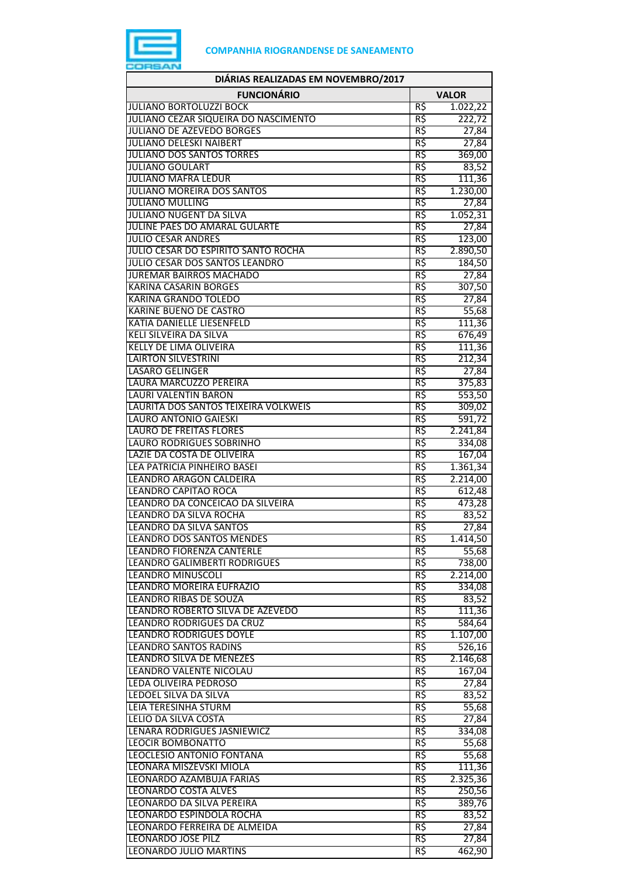

| DIÁRIAS REALIZADAS EM NOVEMBRO/2017                               |                 |                    |
|-------------------------------------------------------------------|-----------------|--------------------|
| <b>FUNCIONÁRIO</b>                                                |                 | <b>VALOR</b>       |
| <b>JULIANO BORTOLUZZI BOCK</b>                                    | R\$             | 1.022,22           |
| JULIANO CEZAR SIQUEIRA DO NASCIMENTO                              | R\$             | 222,72             |
| JULIANO DE AZEVEDO BORGES                                         | $R\overline{5}$ | 27,84              |
| <b>JULIANO DELESKI NAIBERT</b>                                    | R\$             | 27,84              |
| <b>JULIANO DOS SANTOS TORRES</b>                                  | R\$             | 369,00             |
| <b>JULIANO GOULART</b>                                            | R\$             | 83,52              |
| <b>JULIANO MAFRA LEDUR</b>                                        | R\$             | 111,36             |
| <b>JULIANO MOREIRA DOS SANTOS</b><br><b>JULIANO MULLING</b>       | R\$<br>R\$      | 1.230,00           |
| <b>JULIANO NUGENT DA SILVA</b>                                    | R\$             | 27,84<br>1.052,31  |
| JULINE PAES DO AMARAL GULARTE                                     | R\$             | 27,84              |
| <b>JULIO CESAR ANDRES</b>                                         | R\$             | 123,00             |
| JULIO CESAR DO ESPIRITO SANTO ROCHA                               | R\$             | 2.890,50           |
| JULIO CESAR DOS SANTOS LEANDRO                                    | R\$             | 184,50             |
| <b>JUREMAR BAIRROS MACHADO</b>                                    | R\$             | 27,84              |
| <b>KARINA CASARIN BORGES</b>                                      | R\$             | 307,50             |
| <b>KARINA GRANDO TOLEDO</b>                                       | R\$             | 27,84              |
| <b>KARINE BUENO DE CASTRO</b>                                     | R\$             | 55,68              |
| KATIA DANIELLE LIESENFELD                                         | R\$             | 111,36             |
| <b>KELI SILVEIRA DA SILVA</b>                                     | R\$             | 676,49             |
| <b>KELLY DE LIMA OLIVEIRA</b>                                     | R\$             | 111,36             |
| <b>LAIRTON SILVESTRINI</b>                                        | R\$             | 212,34             |
| <b>LASARO GELINGER</b>                                            | R\$             | 27,84              |
| LAURA MARCUZZO PEREIRA                                            | R\$             | 375,83             |
| LAURI VALENTIN BARON                                              | R\$             | 553,50             |
| LAURITA DOS SANTOS TEIXEIRA VOLKWEIS                              | R\$             | 309,02             |
| <b>LAURO ANTONIO GAIESKI</b>                                      | R\$             | 591,72             |
| <b>LAURO DE FREITAS FLORES</b><br><b>LAURO RODRIGUES SOBRINHO</b> | R\$<br>R\$      | 2.241,84           |
| LAZIE DA COSTA DE OLIVEIRA                                        | R\$             | 334,08<br>167,04   |
| LEA PATRICIA PINHEIRO BASEI                                       | R\$             | 1.361,34           |
| LEANDRO ARAGON CALDEIRA                                           | R\$             | 2.214,00           |
| <b>LEANDRO CAPITAO ROCA</b>                                       | R\$             | 612,48             |
| LEANDRO DA CONCEICAO DA SILVEIRA                                  | R\$             | 473,28             |
| LEANDRO DA SILVA ROCHA                                            | R\$             | 83,52              |
| LEANDRO DA SILVA SANTOS                                           | R\$             | 27,84              |
| <b>LEANDRO DOS SANTOS MENDES</b>                                  | R\$             | 1.414,50           |
| LEANDRO FIORENZA CANTERLE                                         | R\$             | 55,68              |
| LEANDRO GALIMBERTI RODRIGUES                                      | R\$             | 738,00             |
| <b>LEANDRO MINUSCOLI</b>                                          | R\$             | 2.214,00           |
| LEANDRO MOREIRA EUFRAZIO                                          | R\$             | 334,08             |
| <b>LEANDRO RIBAS DE SOUZA</b>                                     | R\$             | 83,52              |
| LEANDRO ROBERTO SILVA DE AZEVEDO                                  | R\$             | 111,36             |
| <b>LEANDRO RODRIGUES DA CRUZ</b>                                  | R\$             | 584,64             |
| <b>LEANDRO RODRIGUES DOYLE</b>                                    | R\$<br>R\$      | 1.107,00           |
| <b>LEANDRO SANTOS RADINS</b><br>LEANDRO SILVA DE MENEZES          | R\$             | 526,16<br>2.146,68 |
| LEANDRO VALENTE NICOLAU                                           | R\$             | 167,04             |
| LEDA OLIVEIRA PEDROSO                                             | R\$             | 27,84              |
| LEDOEL SILVA DA SILVA                                             | R\$             | 83,52              |
| <b>LEIA TERESINHA STURM</b>                                       | R\$             | 55,68              |
| LELIO DA SILVA COSTA                                              | R\$             | 27,84              |
| LENARA RODRIGUES JASNIEWICZ                                       | R\$             | 334,08             |
| <b>LEOCIR BOMBONATTO</b>                                          | R\$             | 55,68              |
| LEOCLESIO ANTONIO FONTANA                                         | R\$             | 55,68              |
| LEONARA MISZEVSKI MIOLA                                           | R\$             | 111,36             |
| LEONARDO AZAMBUJA FARIAS                                          | R\$             | 2.325,36           |
| LEONARDO COSTA ALVES                                              | R\$             | 250,56             |
| LEONARDO DA SILVA PEREIRA                                         | R\$             | 389,76             |
| LEONARDO ESPINDOLA ROCHA                                          | R\$             | 83,52              |
| LEONARDO FERREIRA DE ALMEIDA                                      | R\$             | 27,84              |
| LEONARDO JOSE PILZ                                                | R\$             | 27,84              |
| <b>LEONARDO JULIO MARTINS</b>                                     | R\$             | 462,90             |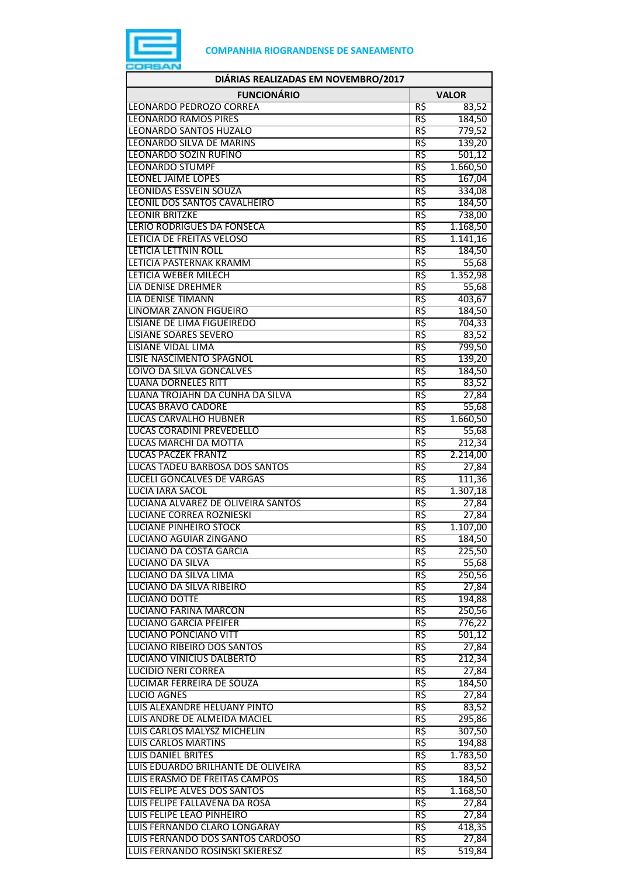

| DIÁRIAS REALIZADAS EM NOVEMBRO/2017                       |                 |                   |
|-----------------------------------------------------------|-----------------|-------------------|
| <b>FUNCIONÁRIO</b>                                        |                 | <b>VALOR</b>      |
| LEONARDO PEDROZO CORREA                                   | R\$             | 83,52             |
| <b>LEONARDO RAMOS PIRES</b>                               | R\$             | 184,50            |
| <b>LEONARDO SANTOS HUZALO</b>                             | R\$             | 779,52            |
| LEONARDO SILVA DE MARINS                                  | R\$             | 139,20            |
| LEONARDO SOZIN RUFINO                                     | R\$             | 501,12            |
| <b>LEONARDO STUMPF</b>                                    | R\$             | 1.660,50          |
| <b>LEONEL JAIME LOPES</b>                                 | R\$             | 167,04            |
| <b>LEONIDAS ESSVEIN SOUZA</b>                             | R\$             | 334,08            |
| LEONIL DOS SANTOS CAVALHEIRO                              | R\$             | 184,50            |
| <b>LEONIR BRITZKE</b>                                     | $R\overline{S}$ | 738,00            |
| <b>LERIO RODRIGUES DA FONSECA</b>                         | R\$             | 1.168,50          |
| LETICIA DE FREITAS VELOSO                                 | R\$             | 1.141,16          |
| <b>LETICIA LETTNIN ROLL</b>                               | R\$             | 184,50            |
| LETICIA PASTERNAK KRAMM                                   | R\$             | 55,68             |
| <b>LETICIA WEBER MILECH</b>                               | R\$             | 1.352,98          |
| <b>LIA DENISE DREHMER</b>                                 | R\$             | 55,68             |
| <b>LIA DENISE TIMANN</b>                                  | R\$             | 403,67            |
| <b>LINOMAR ZANON FIGUEIRO</b>                             | R\$             | 184,50            |
| LISIANE DE LIMA FIGUEIREDO                                | R\$             | 704,33            |
| <b>LISIANE SOARES SEVERO</b><br><b>LISIANE VIDAL LIMA</b> | R\$             | 83,52             |
| LISIE NASCIMENTO SPAGNOL                                  | R\$<br>R\$      | 799,50            |
|                                                           | R\$             | 139,20            |
| LOIVO DA SILVA GONCALVES<br><b>LUANA DORNELES RITT</b>    | R\$             | 184,50            |
| LUANA TROJAHN DA CUNHA DA SILVA                           | R\$             | 83,52             |
| <b>LUCAS BRAVO CADORE</b>                                 | R\$             | 27,84             |
| <b>LUCAS CARVALHO HUBNER</b>                              | R\$             | 55,68<br>1.660,50 |
| LUCAS CORADINI PREVEDELLO                                 | R\$             | 55,68             |
| <b>LUCAS MARCHI DA MOTTA</b>                              | R5              | 212,34            |
| <b>LUCAS PACZEK FRANTZ</b>                                | R\$             | 2.214,00          |
| LUCAS TADEU BARBOSA DOS SANTOS                            | R\$             | 27,84             |
| <b>LUCELI GONCALVES DE VARGAS</b>                         | R\$             | 111,36            |
| LUCIA IARA SACOL                                          | R\$             | 1.307,18          |
| LUCIANA ALVAREZ DE OLIVEIRA SANTOS                        | R\$             | 27,84             |
| <b>LUCIANE CORREA ROZNIESKI</b>                           | R\$             | 27,84             |
| <b>LUCIANE PINHEIRO STOCK</b>                             | R\$             | 1.107,00          |
| LUCIANO AGUIAR ZINGANO                                    | кş              | 184,50            |
| LUCIANO DA COSTA GARCIA                                   | R\$             | 225,50            |
| LUCIANO DA SILVA                                          | R\$             | 55,68             |
| LUCIANO DA SILVA LIMA                                     | R\$             | 250,56            |
| LUCIANO DA SILVA RIBEIRO                                  | R\$             | 27,84             |
| <b>LUCIANO DOTTE</b>                                      | $R\zeta$        | 194,88            |
| <b>LUCIANO FARINA MARCON</b>                              | R\$             | 250,56            |
| <b>LUCIANO GARCIA PFEIFER</b>                             | R\$             | 776,22            |
| <b>LUCIANO PONCIANO VITT</b>                              | R\$             | 501,12            |
| LUCIANO RIBEIRO DOS SANTOS                                | R\$             | 27,84             |
| LUCIANO VINICIUS DALBERTO                                 | R\$             | 212,34            |
| <b>LUCIDIO NERI CORREA</b>                                | R\$             | 27,84             |
| LUCIMAR FERREIRA DE SOUZA                                 | R\$             | 184,50            |
| <b>LUCIO AGNES</b>                                        | R\$             | 27,84             |
| LUIS ALEXANDRE HELUANY PINTO                              | R\$             | 83,52             |
| LUIS ANDRE DE ALMEIDA MACIEL                              | R\$             | 295,86            |
| LUIS CARLOS MALYSZ MICHELIN                               | R\$             | 307,50            |
| <b>LUIS CARLOS MARTINS</b>                                | R\$             | 194,88            |
| <b>LUIS DANIEL BRITES</b>                                 | R\$             | 1.783,50          |
| LUIS EDUARDO BRILHANTE DE OLIVEIRA                        | R\$             | 83,52             |
| LUIS ERASMO DE FREITAS CAMPOS                             | R\$             | 184,50            |
| LUIS FELIPE ALVES DOS SANTOS                              | R\$             | 1.168,50          |
| LUIS FELIPE FALLAVENA DA ROSA                             | R\$             | 27,84             |
| LUIS FELIPE LEAO PINHEIRO                                 | R\$             | 27,84             |
| LUIS FERNANDO CLARO LONGARAY                              | R\$             | 418,35            |
| LUIS FERNANDO DOS SANTOS CARDOSO                          | R\$             | 27,84             |
| LUIS FERNANDO ROSINSKI SKIERESZ                           | R\$             | 519,84            |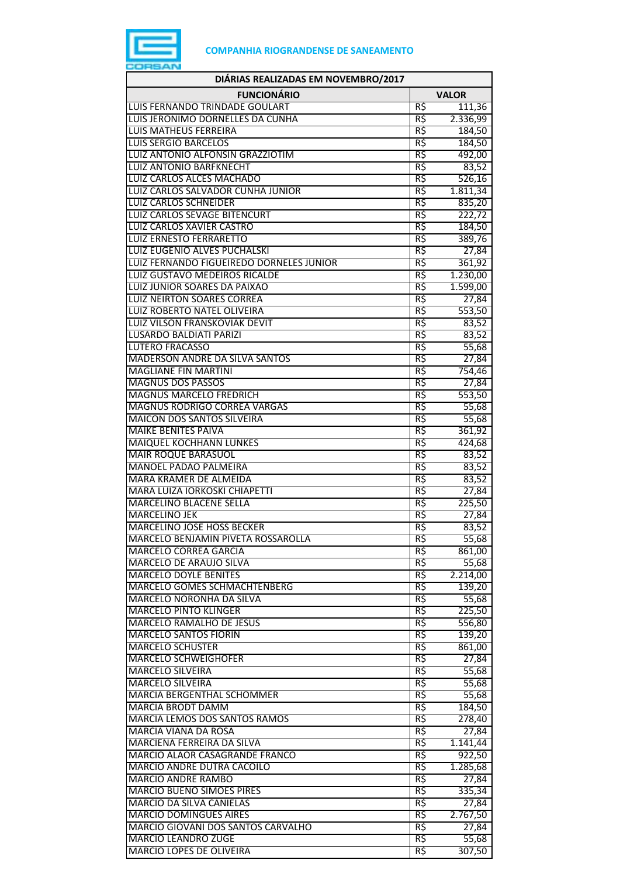

| DIÁRIAS REALIZADAS EM NOVEMBRO/2017                                      |            |                    |
|--------------------------------------------------------------------------|------------|--------------------|
| <b>FUNCIONÁRIO</b>                                                       |            | <b>VALOR</b>       |
| LUIS FERNANDO TRINDADE GOULART                                           | R\$        | 111,36             |
| LUIS JERONIMO DORNELLES DA CUNHA                                         | R\$        | 2.336,99           |
| <b>LUIS MATHEUS FERREIRA</b>                                             | R\$        | 184,50             |
| <b>LUIS SERGIO BARCELOS</b>                                              | R\$        | 184,50             |
| LUIZ ANTONIO ALFONSIN GRAZZIOTIM                                         | R\$        | 492,00             |
| <b>LUIZ ANTONIO BARFKNECHT</b>                                           | R\$        | 83,52              |
| LUIZ CARLOS ALCES MACHADO                                                | R\$        | 526,16             |
| LUIZ CARLOS SALVADOR CUNHA JUNIOR                                        | R\$        | 1.811,34           |
| <b>LUIZ CARLOS SCHNEIDER</b>                                             | R\$        | 835,20             |
| <b>LUIZ CARLOS SEVAGE BITENCURT</b>                                      | R\$        | 222,72             |
| LUIZ CARLOS XAVIER CASTRO                                                | R\$        | 184,50             |
| <b>LUIZ ERNESTO FERRARETTO</b>                                           | R\$<br>R\$ | 389,76             |
| LUIZ EUGENIO ALVES PUCHALSKI<br>LUIZ FERNANDO FIGUEIREDO DORNELES JUNIOR | R\$        | 27,84              |
| LUIZ GUSTAVO MEDEIROS RICALDE                                            | R\$        | 361,92<br>1.230,00 |
| LUIZ JUNIOR SOARES DA PAIXAO                                             | R\$        | 1.599,00           |
| <b>LUIZ NEIRTON SOARES CORREA</b>                                        | R\$        | 27,84              |
| LUIZ ROBERTO NATEL OLIVEIRA                                              | R\$        | 553,50             |
| LUIZ VILSON FRANSKOVIAK DEVIT                                            | R\$        | 83,52              |
| <b>LUSARDO BALDIATI PARIZI</b>                                           | R\$        | 83,52              |
| <b>LUTERO FRACASSO</b>                                                   | R\$        | 55,68              |
| MADERSON ANDRE DA SILVA SANTOS                                           | R\$        | 27,84              |
| <b>MAGLIANE FIN MARTINI</b>                                              | R\$        | 754,46             |
| <b>MAGNUS DOS PASSOS</b>                                                 | R\$        | 27,84              |
| <b>MAGNUS MARCELO FREDRICH</b>                                           | R\$        | 553,50             |
| <b>MAGNUS RODRIGO CORREA VARGAS</b>                                      | R\$        | 55,68              |
| <b>MAICON DOS SANTOS SILVEIRA</b>                                        | R\$        | 55,68              |
| <b>MAIKE BENITES PAIVA</b>                                               | R\$        | 361,92             |
| <b>MAIQUEL KOCHHANN LUNKES</b>                                           | R\$        | 424,68             |
| <b>MAIR ROQUE BARASUOL</b>                                               | R\$        | 83,52              |
| MANOEL PADAO PALMEIRA                                                    | R\$        | 83,52              |
| MARA KRAMER DE ALMEIDA                                                   | R\$        | 83,52              |
| MARA LUIZA IORKOSKI CHIAPETTI                                            | R\$        | 27,84              |
| <b>MARCELINO BLACENE SELLA</b>                                           | R\$        | 225,50             |
| <b>MARCELINO JEK</b>                                                     | R\$        | 27,84              |
| MARCELINO JOSE HOSS BECKER                                               | R\$        | 83,52              |
| MARCELO BENJAMIN PIVETA ROSSAROLLA                                       | R\$        | 55,68              |
| <b>MARCELO CORREA GARCIA</b>                                             | R\$        | 861,00             |
| MARCELO DE ARAUJO SILVA                                                  | R\$        | 55,68              |
| <b>MARCELO DOYLE BENITES</b>                                             | R\$        | 2.214,00           |
| MARCELO GOMES SCHMACHTENBERG                                             | $R\zeta$   | 139,20             |
| MARCELO NORONHA DA SILVA                                                 | R\$        | 55,68              |
| <b>MARCELO PINTO KLINGER</b>                                             | R\$        | 225,50             |
| <b>MARCELO RAMALHO DE JESUS</b>                                          | R\$        | 556,80             |
| <b>MARCELO SANTOS FIORIN</b>                                             | R\$        | 139,20             |
| <b>MARCELO SCHUSTER</b>                                                  | R\$        | 861,00             |
| <b>MARCELO SCHWEIGHOFER</b>                                              | R\$        | 27,84              |
| <b>MARCELO SILVEIRA</b>                                                  | R\$        | 55,68              |
| MARCELO SILVEIRA<br><b>MARCIA BERGENTHAL SCHOMMER</b>                    | R\$        | 55,68              |
|                                                                          | R\$<br>R\$ | 55,68              |
| <b>MARCIA BRODT DAMM</b><br>MARCIA LEMOS DOS SANTOS RAMOS                | R\$        | 184,50             |
| MARCIA VIANA DA ROSA                                                     | R\$        | 278,40<br>27,84    |
| MARCIENA FERREIRA DA SILVA                                               | R\$        | 1.141,44           |
| MARCIO ALAOR CASAGRANDE FRANCO                                           | R\$        | 922,50             |
| MARCIO ANDRE DUTRA CACOILO                                               | R\$        | 1.285,68           |
| <b>MARCIO ANDRE RAMBO</b>                                                | R\$        | 27,84              |
| <b>MARCIO BUENO SIMOES PIRES</b>                                         | R\$        | 335,34             |
| <b>MARCIO DA SILVA CANIELAS</b>                                          | R\$        | 27,84              |
| <b>MARCIO DOMINGUES AIRES</b>                                            | R\$        | 2.767,50           |
| MARCIO GIOVANI DOS SANTOS CARVALHO                                       | R\$        | 27,84              |
| MARCIO LEANDRO ZUGE                                                      | R\$        | 55,68              |
| MARCIO LOPES DE OLIVEIRA                                                 | R\$        | 307,50             |
|                                                                          |            |                    |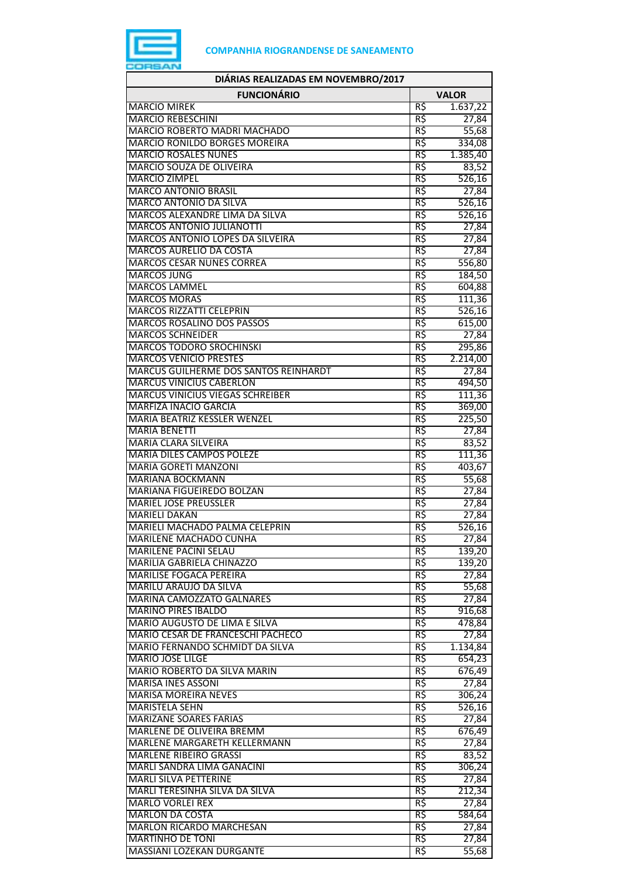

| DIÁRIAS REALIZADAS EM NOVEMBRO/2017                              |                 |                    |
|------------------------------------------------------------------|-----------------|--------------------|
| <b>FUNCIONÁRIO</b>                                               |                 | <b>VALOR</b>       |
| <b>MARCIO MIREK</b>                                              | R\$             | 1.637,22           |
| <b>MARCIO REBESCHINI</b>                                         | R\$             | 27,84              |
| MARCIO ROBERTO MADRI MACHADO                                     | R\$             | 55,68              |
| <b>MARCIO RONILDO BORGES MOREIRA</b>                             | R\$             | 334,08             |
| <b>MARCIO ROSALES NUNES</b>                                      | R\$             | 1.385,40           |
| MARCIO SOUZA DE OLIVEIRA<br><b>MARCIO ZIMPEL</b>                 | R\$<br>R\$      | 83,52              |
| <b>MARCO ANTONIO BRASIL</b>                                      | R\$             | 526,16<br>27,84    |
| <b>MARCO ANTONIO DA SILVA</b>                                    | R\$             | 526,16             |
| MARCOS ALEXANDRE LIMA DA SILVA                                   | R\$             | 526,16             |
| <b>MARCOS ANTONIO JULIANOTTI</b>                                 | R\$             | 27,84              |
| MARCOS ANTONIO LOPES DA SILVEIRA                                 | R\$             | 27,84              |
| MARCOS AURELIO DA COSTA                                          | R\$             | 27,84              |
| <b>MARCOS CESAR NUNES CORREA</b>                                 | $R\overline{S}$ | 556,80             |
| <b>MARCOS JUNG</b>                                               | R\$             | 184,50             |
| <b>MARCOS LAMMEL</b>                                             | R\$             | 604,88             |
| <b>MARCOS MORAS</b>                                              | R\$             | 111,36             |
| <b>MARCOS RIZZATTI CELEPRIN</b>                                  | R\$             | 526,16             |
| <b>MARCOS ROSALINO DOS PASSOS</b>                                | R\$             | 615,00             |
| <b>MARCOS SCHNEIDER</b><br><b>MARCOS TODORO SROCHINSKI</b>       | R\$<br>R\$      | 27,84<br>295,86    |
| <b>MARCOS VENICIO PRESTES</b>                                    | R\$             | 2.214,00           |
| MARCUS GUILHERME DOS SANTOS REINHARDT                            | R\$             | 27,84              |
| <b>MARCUS VINICIUS CABERLON</b>                                  | R\$             | 494,50             |
| <b>MARCUS VINICIUS VIEGAS SCHREIBER</b>                          | R\$             | 111,36             |
| <b>MARFIZA INACIO GARCIA</b>                                     | R\$             | 369,00             |
| MARIA BEATRIZ KESSLER WENZEL                                     | R\$             | 225,50             |
| <b>MARIA BENETTI</b>                                             | R\$             | 27,84              |
| <b>MARIA CLARA SILVEIRA</b>                                      | R\$             | 83,52              |
| <b>MARIA DILES CAMPOS POLEZE</b>                                 | R\$             | 111,36             |
| <b>MARIA GORETI MANZONI</b>                                      | R\$             | 403,67             |
| <b>MARIANA BOCKMANN</b>                                          | R\$             | 55,68              |
| <b>MARIANA FIGUEIREDO BOLZAN</b><br><b>MARIEL JOSE PREUSSLER</b> | R\$<br>R\$      | 27,84              |
| <b>MARIELI DAKAN</b>                                             | R\$             | 27,84<br>27,84     |
| MARIELI MACHADO PALMA CELEPRIN                                   | R\$             | 526,16             |
| MARILENE MACHADO CUNHA                                           | R\$             | 27,84              |
| <b>MARILENE PACINI SELAU</b>                                     | R\$             | 139,20             |
| MARILIA GABRIELA CHINAZZO                                        | R\$             | 139,20             |
| <b>MARILISE FOGACA PEREIRA</b>                                   | R\$             | 27,84              |
| MARILU ARAUJO DA SILVA                                           | R\$             | 55,68              |
| MARINA CAMOZZATO GALNARES                                        | R\$             | 27,84              |
| <b>MARINO PIRES IBALDO</b>                                       | R\$             | 916,68             |
| MARIO AUGUSTO DE LIMA E SILVA                                    | R\$             | 478,84             |
| MARIO CESAR DE FRANCESCHI PACHECO                                | R\$             | 27,84              |
| MARIO FERNANDO SCHMIDT DA SILVA<br><b>MARIO JOSE LILGE</b>       | R\$<br>R\$      | 1.134,84<br>654,23 |
| MARIO ROBERTO DA SILVA MARIN                                     | R\$             | 676,49             |
| <b>MARISA INES ASSONI</b>                                        | R\$             | 27,84              |
| <b>MARISA MOREIRA NEVES</b>                                      | R\$             | 306,24             |
| <b>MARISTELA SEHN</b>                                            | R\$             | 526,16             |
| <b>MARIZANE SOARES FARIAS</b>                                    | R\$             | 27,84              |
| MARLENE DE OLIVEIRA BREMM                                        | R\$             | 676,49             |
| MARLENE MARGARETH KELLERMANN                                     | R\$             | 27,84              |
| <b>MARLENE RIBEIRO GRASSI</b>                                    | R\$             | 83,52              |
| MARLI SANDRA LIMA GANACINI                                       | R\$             | 306,24             |
| <b>MARLI SILVA PETTERINE</b>                                     | R\$             | 27,84              |
| MARLI TERESINHA SILVA DA SILVA                                   | R\$             | 212,34             |
| <b>MARLO VORLEI REX</b>                                          | R\$             | 27,84              |
| <b>MARLON DA COSTA</b><br>MARLON RICARDO MARCHESAN               | R\$<br>R\$      | 584,64<br>27,84    |
| MARTINHO DE TONI                                                 | R\$             | 27,84              |
| MASSIANI LOZEKAN DURGANTE                                        | R\$             | 55,68              |
|                                                                  |                 |                    |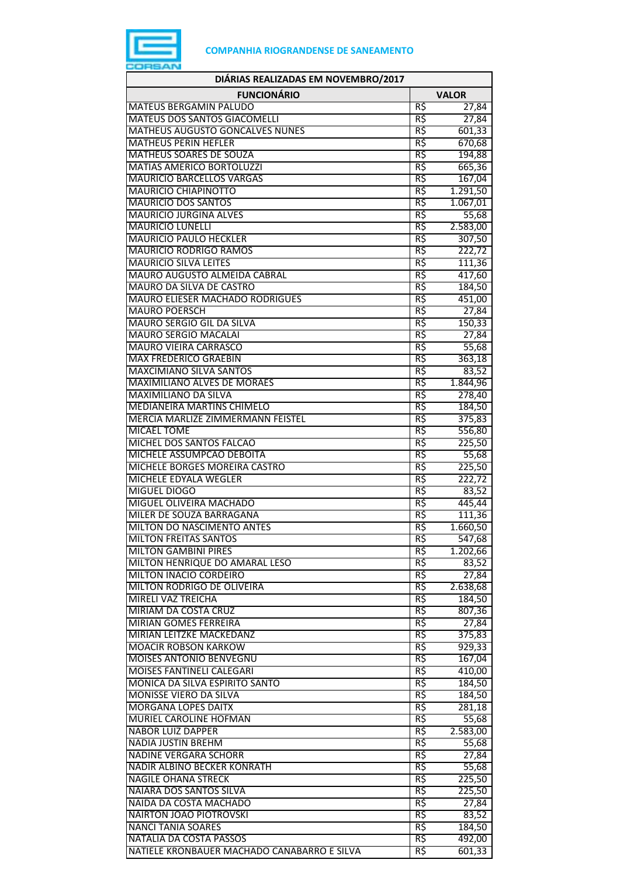

| DIÁRIAS REALIZADAS EM NOVEMBRO/2017                                  |              |                    |
|----------------------------------------------------------------------|--------------|--------------------|
| <b>FUNCIONÁRIO</b>                                                   | <b>VALOR</b> |                    |
| <b>MATEUS BERGAMIN PALUDO</b>                                        | R\$          | 27,84              |
| MATEUS DOS SANTOS GIACOMELLI                                         | R\$          | 27,84              |
| <b>MATHEUS AUGUSTO GONCALVES NUNES</b>                               | R\$          | 601,33             |
| <b>MATHEUS PERIN HEFLER</b>                                          | R\$          | 670,68             |
| <b>MATHEUS SOARES DE SOUZA</b>                                       | R\$          | 194,88             |
| <b>MATIAS AMERICO BORTOLUZZI</b><br><b>MAURICIO BARCELLOS VARGAS</b> | R\$          | 665,36             |
| MAURICIO CHIAPINOTTO                                                 | R\$<br>R\$   | 167,04<br>1.291,50 |
| <b>MAURICIO DOS SANTOS</b>                                           | R\$          | 1.067,01           |
| <b>MAURICIO JURGINA ALVES</b>                                        | R\$          | 55,68              |
| <b>MAURICIO LUNELLI</b>                                              | R\$          | 2.583,00           |
| <b>MAURICIO PAULO HECKLER</b>                                        | R\$          | 307,50             |
| <b>MAURICIO RODRIGO RAMOS</b>                                        | R\$          | 222,72             |
| <b>MAURICIO SILVA LEITES</b>                                         | R\$          | 111,36             |
| MAURO AUGUSTO ALMEIDA CABRAL                                         | R\$          | 417,60             |
| MAURO DA SILVA DE CASTRO                                             | R\$          | 184,50             |
| <b>MAURO ELIESER MACHADO RODRIGUES</b>                               | R\$          | 451,00             |
| <b>MAURO POERSCH</b>                                                 | R\$          | 27,84              |
| MAURO SERGIO GIL DA SILVA                                            | R\$          | 150,33             |
| <b>MAURO SERGIO MACALAI</b><br><b>MAURO VIEIRA CARRASCO</b>          | R\$<br>R\$   | 27,84              |
| <b>MAX FREDERICO GRAEBIN</b>                                         | R\$          | 55,68<br>363,18    |
| <b>MAXCIMIANO SILVA SANTOS</b>                                       | R\$          | 83,52              |
| <b>MAXIMILIANO ALVES DE MORAES</b>                                   | R\$          | 1.844,96           |
| <b>MAXIMILIANO DA SILVA</b>                                          | R\$          | 278,40             |
| <b>MEDIANEIRA MARTINS CHIMELO</b>                                    | R\$          | 184,50             |
| MERCIA MARLIZE ZIMMERMANN FEISTEL                                    | R\$          | 375,83             |
| <b>MICAEL TOME</b>                                                   | R\$          | 556,80             |
| MICHEL DOS SANTOS FALCAO                                             | R\$          | 225,50             |
| MICHELE ASSUMPCAO DEBOITA                                            | R\$          | 55,68              |
| MICHELE BORGES MOREIRA CASTRO                                        | R\$          | 225,50             |
| MICHELE EDYALA WEGLER                                                | R\$          | 222,72             |
| <b>MIGUEL DIOGO</b>                                                  | R\$          | 83,52              |
| MIGUEL OLIVEIRA MACHADO<br>MILER DE SOUZA BARRAGANA                  | R\$<br>R\$   | 445,44<br>111,36   |
| MILTON DO NASCIMENTO ANTES                                           | R\$          | 1.660,50           |
| MILTON FREITAS SANTOS                                                | RŞ           | 547,68             |
| <b>MILTON GAMBINI PIRES</b>                                          | R\$          | 1.202,66           |
| MILTON HENRIQUE DO AMARAL LESO                                       | R\$          | 83,52              |
| MILTON INACIO CORDEIRO                                               | R\$          | 27,84              |
| MILTON RODRIGO DE OLIVEIRA                                           | R\$          | 2.638,68           |
| <b>MIRELI VAZ TREICHA</b>                                            | R\$          | 184,50             |
| MIRIAM DA COSTA CRUZ                                                 | R\$          | 807,36             |
| <b>MIRIAN GOMES FERREIRA</b>                                         | R\$          | 27,84              |
| MIRIAN LEITZKE MACKEDANZ                                             | R\$          | 375,83             |
| <b>MOACIR ROBSON KARKOW</b><br><b>MOISES ANTONIO BENVEGNU</b>        | R\$<br>R\$   | 929,33             |
| <b>MOISES FANTINELI CALEGARI</b>                                     | R\$          | 167,04<br>410,00   |
| MONICA DA SILVA ESPIRITO SANTO                                       | R\$          | 184,50             |
| MONISSE VIERO DA SILVA                                               | R\$          | 184,50             |
| <b>MORGANA LOPES DAITX</b>                                           | R\$          | 281,18             |
| MURIEL CAROLINE HOFMAN                                               | R\$          | 55,68              |
| <b>NABOR LUIZ DAPPER</b>                                             | R\$          | 2.583,00           |
| <b>NADIA JUSTIN BREHM</b>                                            | R\$          | 55,68              |
| <b>NADINE VERGARA SCHORR</b>                                         | R\$          | 27,84              |
| NADIR ALBINO BECKER KONRATH                                          | R\$          | 55,68              |
| <b>NAGILE OHANA STRECK</b>                                           | R\$          | 225,50             |
| NAIARA DOS SANTOS SILVA                                              | R\$          | 225,50             |
| NAIDA DA COSTA MACHADO                                               | R\$          | 27,84              |
| <b>NAIRTON JOAO PIOTROVSKI</b><br><b>NANCI TANIA SOARES</b>          | R\$<br>R\$   | 83,52<br>184,50    |
| NATALIA DA COSTA PASSOS                                              | R\$          | 492,00             |
| NATIELE KRONBAUER MACHADO CANABARRO E SILVA                          | R\$          | 601,33             |
|                                                                      |              |                    |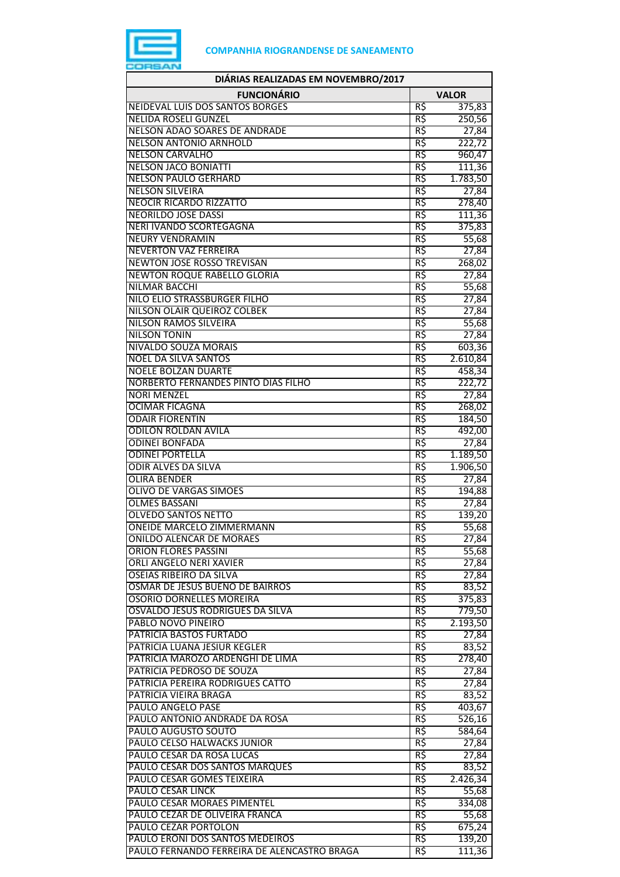

| DIÁRIAS REALIZADAS EM NOVEMBRO/2017                               |            |                |
|-------------------------------------------------------------------|------------|----------------|
| <b>FUNCIONÁRIO</b>                                                |            | <b>VALOR</b>   |
| <b>NEIDEVAL LUIS DOS SANTOS BORGES</b>                            | R\$        | 375,83         |
| <b>NELIDA ROSELI GUNZEL</b>                                       | R\$        | 250,56         |
| NELSON ADAO SOARES DE ANDRADE                                     | R\$        | 27,84          |
| <b>NELSON ANTONIO ARNHOLD</b>                                     | R\$        | 222,72         |
| <b>NELSON CARVALHO</b>                                            | R\$        | 960,47         |
| <b>NELSON JACO BONIATTI</b>                                       | R\$        | 111,36         |
| <b>NELSON PAULO GERHARD</b>                                       | R\$        | 1.783,50       |
| <b>NELSON SILVEIRA</b>                                            | R\$        | 27,84          |
| <b>NEOCIR RICARDO RIZZATTO</b>                                    | R\$        | 278,40         |
| <b>NEORILDO JOSE DASSI</b>                                        | R\$        | 111,36         |
| <b>NERI IVANDO SCORTEGAGNA</b>                                    | R\$        | 375,83         |
| <b>NEURY VENDRAMIN</b>                                            | R\$<br>R\$ | 55,68          |
| <b>NEVERTON VAZ FERREIRA</b><br><b>NEWTON JOSE ROSSO TREVISAN</b> | R\$        | 27,84          |
| <b>NEWTON ROQUE RABELLO GLORIA</b>                                | R\$        | 268,02         |
| <b>NILMAR BACCHI</b>                                              | R\$        | 27,84<br>55,68 |
| NILO ELIO STRASSBURGER FILHO                                      | R\$        | 27,84          |
| NILSON OLAIR QUEIROZ COLBEK                                       | R\$        | 27,84          |
| <b>NILSON RAMOS SILVEIRA</b>                                      | R\$        | 55,68          |
| <b>NILSON TONIN</b>                                               | R\$        | 27,84          |
| <b>NIVALDO SOUZA MORAIS</b>                                       | R\$        | 603,36         |
| <b>NOEL DA SILVA SANTOS</b>                                       | R\$        | 2.610,84       |
| <b>NOELE BOLZAN DUARTE</b>                                        | R\$        | 458,34         |
| NORBERTO FERNANDES PINTO DIAS FILHO                               | R\$        | 222,72         |
| <b>NORI MENZEL</b>                                                | R\$        | 27,84          |
| <b>OCIMAR FICAGNA</b>                                             | R\$        | 268,02         |
| <b>ODAIR FIORENTIN</b>                                            | R\$        | 184,50         |
| <b>ODILON ROLDAN AVILA</b>                                        | R\$        | 492,00         |
| <b>ODINEI BONFADA</b>                                             | R\$        | 27,84          |
| <b>ODINEI PORTELLA</b>                                            | R\$        | 1.189,50       |
| <b>ODIR ALVES DA SILVA</b>                                        | R\$        | 1.906,50       |
| <b>OLIRA BENDER</b>                                               | R\$        | 27,84          |
| <b>OLIVO DE VARGAS SIMOES</b>                                     | R\$        | 194,88         |
| <b>OLMES BASSANI</b>                                              | R\$        | 27,84          |
| <b>OLVEDO SANTOS NETTO</b>                                        | R\$        | 139,20         |
| <b>ONEIDE MARCELO ZIMMERMANN</b>                                  | R\$        | 55,68          |
| <b>ONILDO ALENCAR DE MORAES</b>                                   | R\$        | 27,84          |
| <b>ORION FLORES PASSINI</b>                                       | R\$        | 55,68          |
| <b>ORLI ANGELO NERI XAVIER</b>                                    | R\$        | 27,84          |
| <b>OSEIAS RIBEIRO DA SILVA</b>                                    | R\$        | 27,84          |
| OSMAR DE JESUS BUENO DE BAIRROS                                   | R\$        | 83,52          |
| <b>OSORIO DORNELLES MOREIRA</b>                                   | R\$        | 375,83         |
| OSVALDO JESUS RODRIGUES DA SILVA                                  | R\$        | 779,50         |
| PABLO NOVO PINEIRO                                                | R\$        | 2.193,50       |
| PATRICIA BASTOS FURTADO                                           | R\$        | 27,84          |
| PATRICIA LUANA JESIUR KEGLER                                      | R\$        | 83,52          |
| PATRICIA MAROZO ARDENGHI DE LIMA                                  | R\$        | 278,40         |
| PATRICIA PEDROSO DE SOUZA                                         | R\$        | 27,84          |
| PATRICIA PEREIRA RODRIGUES CATTO                                  | R\$        | 27,84          |
| PATRICIA VIEIRA BRAGA                                             | R\$        | 83,52          |
| PAULO ANGELO PASE                                                 | R\$        | 403,67         |
| PAULO ANTONIO ANDRADE DA ROSA                                     | R\$        | 526,16         |
| PAULO AUGUSTO SOUTO                                               | R\$        | 584,64         |
| PAULO CELSO HALWACKS JUNIOR<br>PAULO CESAR DA ROSA LUCAS          | R\$<br>R\$ | 27,84          |
| PAULO CESAR DOS SANTOS MARQUES                                    | R\$        | 27,84<br>83,52 |
| PAULO CESAR GOMES TEIXEIRA                                        | R\$        | 2.426,34       |
| <b>PAULO CESAR LINCK</b>                                          | R\$        | 55,68          |
| PAULO CESAR MORAES PIMENTEL                                       | R\$        | 334,08         |
| PAULO CEZAR DE OLIVEIRA FRANCA                                    | R\$        | 55,68          |
| PAULO CEZAR PORTOLON                                              | R\$        | 675,24         |
| PAULO ERONI DOS SANTOS MEDEIROS                                   | R\$        | 139,20         |
| PAULO FERNANDO FERREIRA DE ALENCASTRO BRAGA                       | R\$        | 111,36         |
|                                                                   |            |                |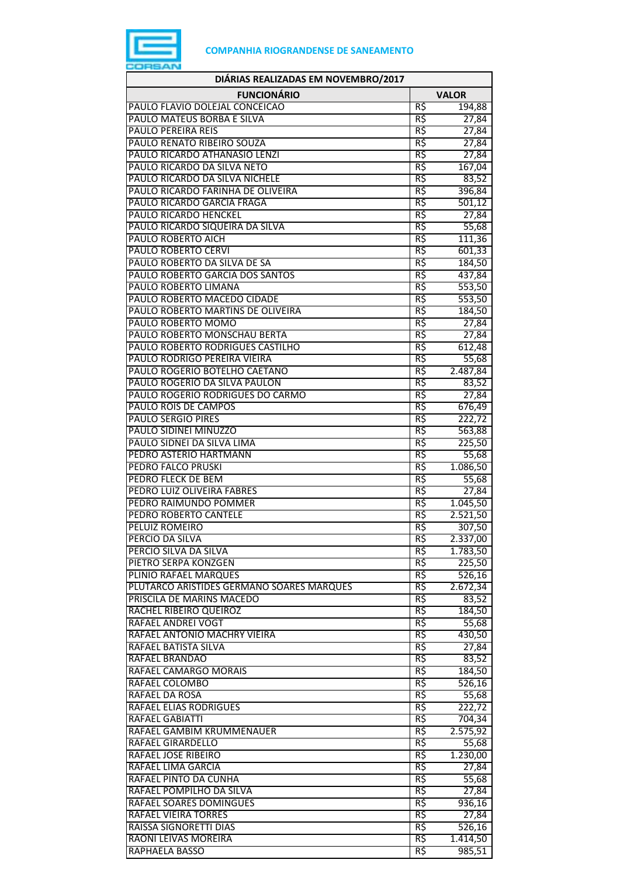

| DIÁRIAS REALIZADAS EM NOVEMBRO/2017                                |              |                    |
|--------------------------------------------------------------------|--------------|--------------------|
| <b>FUNCIONÁRIO</b>                                                 | <b>VALOR</b> |                    |
| PAULO FLAVIO DOLEJAL CONCEICAO                                     | R\$          | 194,88             |
| PAULO MATEUS BORBA E SILVA                                         | R\$          | 27,84              |
| <b>PAULO PEREIRA REIS</b>                                          | R\$          | 27,84              |
| PAULO RENATO RIBEIRO SOUZA                                         | R\$          | 27,84              |
| PAULO RICARDO ATHANASIO LENZI                                      | R\$          | 27,84              |
| PAULO RICARDO DA SILVA NETO                                        | R\$          | 167,04             |
| PAULO RICARDO DA SILVA NICHELE                                     | R\$          | 83,52              |
| PAULO RICARDO FARINHA DE OLIVEIRA                                  | R\$          | 396,84             |
| PAULO RICARDO GARCIA FRAGA                                         | R\$          | 501,12             |
| <b>PAULO RICARDO HENCKEL</b><br>PAULO RICARDO SIQUEIRA DA SILVA    | R\$<br>R\$   | 27,84<br>55,68     |
| PAULO ROBERTO AICH                                                 | R\$          | 111,36             |
| <b>PAULO ROBERTO CERVI</b>                                         | R\$          | 601,33             |
| PAULO ROBERTO DA SILVA DE SA                                       | R\$          | 184,50             |
| PAULO ROBERTO GARCIA DOS SANTOS                                    | R\$          | 437,84             |
| PAULO ROBERTO LIMANA                                               | R\$          | 553,50             |
| PAULO ROBERTO MACEDO CIDADE                                        | R\$          | 553,50             |
| PAULO ROBERTO MARTINS DE OLIVEIRA                                  | R\$          | 184,50             |
| PAULO ROBERTO MOMO                                                 | R\$          | 27,84              |
| PAULO ROBERTO MONSCHAU BERTA                                       | R\$          | 27,84              |
| PAULO ROBERTO RODRIGUES CASTILHO                                   | R\$          | 612,48             |
| PAULO RODRIGO PEREIRA VIEIRA                                       | R\$          | 55,68              |
| PAULO ROGERIO BOTELHO CAETANO                                      | R\$          | 2.487,84           |
| PAULO ROGERIO DA SILVA PAULON                                      | R\$          | 83,52              |
| PAULO ROGERIO RODRIGUES DO CARMO                                   | R\$          | 27,84              |
| PAULO ROIS DE CAMPOS                                               | R\$          | 676,49             |
| <b>PAULO SERGIO PIRES</b>                                          | R\$          | 222,72             |
| PAULO SIDINEI MINUZZO                                              | R\$          | 563,88             |
| PAULO SIDNEI DA SILVA LIMA                                         | R5           | 225,50             |
| PEDRO ASTERIO HARTMANN                                             | R\$          | 55,68              |
| <b>PEDRO FALCO PRUSKI</b>                                          | R\$          | 1.086,50           |
| PEDRO FLECK DE BEM                                                 | R\$          | 55,68              |
| PEDRO LUIZ OLIVEIRA FABRES                                         | R\$          | 27,84              |
| PEDRO RAIMUNDO POMMER                                              | R\$          | 1.045,50           |
| PEDRO ROBERTO CANTELE                                              | R\$          | 2.521,50           |
| PELUIZ ROMEIRO                                                     | R\$          | 307,50             |
| PERCIO DA SILVA                                                    | кş           | 2.337,00           |
| PERCIO SILVA DA SILVA                                              | R\$          | 1.783,50           |
| PIETRO SERPA KONZGEN                                               | R\$<br>R\$   | 225,50             |
| PLINIO RAFAEL MARQUES<br>PLUTARCO ARISTIDES GERMANO SOARES MARQUES | R\$          | 526,16<br>2.672,34 |
| PRISCILA DE MARINS MACEDO                                          | R\$          | 83,52              |
| RACHEL RIBEIRO QUEIROZ                                             | R\$          | 184,50             |
| RAFAEL ANDREI VOGT                                                 | R\$          | 55,68              |
| RAFAEL ANTONIO MACHRY VIEIRA                                       | R\$          | 430,50             |
| RAFAEL BATISTA SILVA                                               | R\$          | 27,84              |
| RAFAEL BRANDAO                                                     | R\$          | 83,52              |
| RAFAEL CAMARGO MORAIS                                              | R\$          | 184,50             |
| RAFAEL COLOMBO                                                     | R\$          | 526,16             |
| RAFAEL DA ROSA                                                     | R\$          | 55,68              |
| RAFAEL ELIAS RODRIGUES                                             | R\$          | 222,72             |
| RAFAEL GABIATTI                                                    | R\$          | 704,34             |
| RAFAEL GAMBIM KRUMMENAUER                                          | R\$          | 2.575,92           |
| RAFAEL GIRARDELLO                                                  | R\$          | 55,68              |
| RAFAEL JOSE RIBEIRO                                                | R\$          | 1.230,00           |
| RAFAEL LIMA GARCIA                                                 | R\$          | 27,84              |
| RAFAEL PINTO DA CUNHA                                              | R\$          | 55,68              |
| RAFAEL POMPILHO DA SILVA                                           | R\$          | 27,84              |
| RAFAEL SOARES DOMINGUES                                            | R\$          | 936,16             |
| RAFAEL VIEIRA TORRES                                               | R\$          | 27,84              |
| RAISSA SIGNORETTI DIAS                                             | R\$          | 526,16             |
| RAONI LEIVAS MOREIRA                                               | R\$          | 1.414,50           |
| RAPHAELA BASSO                                                     | R\$          | 985,51             |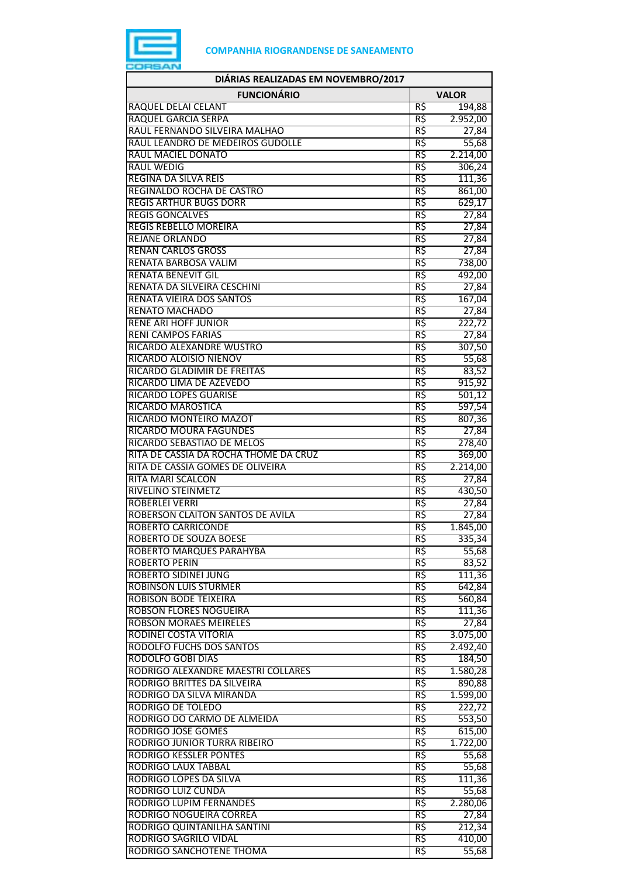

| DIÁRIAS REALIZADAS EM NOVEMBRO/2017                    |              |                  |
|--------------------------------------------------------|--------------|------------------|
| <b>FUNCIONÁRIO</b>                                     | <b>VALOR</b> |                  |
| RAQUEL DELAI CELANT                                    | R\$          | 194,88           |
| RAQUEL GARCIA SERPA                                    | R\$          | 2.952,00         |
| RAUL FERNANDO SILVEIRA MALHAO                          | R\$          | 27,84            |
| RAUL LEANDRO DE MEDEIROS GUDOLLE                       | R\$          | 55,68            |
| RAUL MACIEL DONATO                                     | R\$          | 2.214,00         |
| <b>RAUL WEDIG</b>                                      | R\$          | 306,24           |
| REGINA DA SILVA REIS                                   | R\$          | 111,36           |
| <b>REGINALDO ROCHA DE CASTRO</b>                       | R\$          | 861,00           |
| <b>REGIS ARTHUR BUGS DORR</b>                          | R\$          | 629,17           |
| <b>REGIS GONCALVES</b>                                 | R\$          | 27,84            |
| <b>REGIS REBELLO MOREIRA</b>                           | R\$          | 27,84            |
| <b>REJANE ORLANDO</b>                                  | R\$          | 27,84            |
| <b>RENAN CARLOS GROSS</b>                              | R\$          | 27,84            |
| RENATA BARBOSA VALIM                                   | R\$          | 738,00           |
| <b>RENATA BENEVIT GIL</b>                              | R\$          | 492,00           |
| RENATA DA SILVEIRA CESCHINI                            | R\$          | 27,84            |
| <b>RENATA VIEIRA DOS SANTOS</b>                        | R\$          | 167,04           |
| <b>RENATO MACHADO</b>                                  | R\$          | 27,84            |
| <b>RENE ARI HOFF JUNIOR</b>                            | R\$          | 222,72           |
| <b>RENI CAMPOS FARIAS</b><br>RICARDO ALEXANDRE WUSTRO  | R\$<br>R\$   | 27,84            |
| RICARDO ALOISIO NIENOV                                 |              | 307,50           |
|                                                        | R\$          | 55,68            |
| RICARDO GLADIMIR DE FREITAS<br>RICARDO LIMA DE AZEVEDO | R\$<br>R\$   | 83,52            |
| <b>RICARDO LOPES GUARISE</b>                           | R\$          | 915,92           |
| RICARDO MAROSTICA                                      | R\$          | 501,12           |
| RICARDO MONTEIRO MAZOT                                 | R\$          | 597,54<br>807,36 |
| <b>RICARDO MOURA FAGUNDES</b>                          | R\$          | 27,84            |
| RICARDO SEBASTIAO DE MELOS                             | R\$          |                  |
| RITA DE CASSIA DA ROCHA THOME DA CRUZ                  | R\$          | 278,40<br>369,00 |
| RITA DE CASSIA GOMES DE OLIVEIRA                       | R\$          | 2.214,00         |
| <b>RITA MARI SCALCON</b>                               | R\$          | 27,84            |
| RIVELINO STEINMETZ                                     | R\$          | 430,50           |
| <b>ROBERLEI VERRI</b>                                  | R\$          | 27,84            |
| ROBERSON CLAITON SANTOS DE AVILA                       | R\$          | 27,84            |
| <b>ROBERTO CARRICONDE</b>                              | R\$          | 1.845,00         |
| ROBERTO DE SOUZA BOESE                                 | кş           | 335,34           |
| ROBERTO MARQUES PARAHYBA                               | R\$          | 55,68            |
| <b>ROBERTO PERIN</b>                                   | R\$          | 83,52            |
| ROBERTO SIDINEI JUNG                                   | R\$          | 111,36           |
| ROBINSON LUIS STURMER                                  | R\$          | 642,84           |
| <b>ROBISON BODE TEIXEIRA</b>                           | R\$          | 560,84           |
| <b>ROBSON FLORES NOGUEIRA</b>                          | R\$          | 111,36           |
| <b>ROBSON MORAES MEIRELES</b>                          | R\$          | 27,84            |
| RODINEI COSTA VITORIA                                  | R\$          | 3.075,00         |
| <b>RODOLFO FUCHS DOS SANTOS</b>                        | R\$          | 2.492,40         |
| <b>RODOLFO GOBI DIAS</b>                               | R\$          | 184,50           |
| RODRIGO ALEXANDRE MAESTRI COLLARES                     | R\$          | 1.580,28         |
| RODRIGO BRITTES DA SILVEIRA                            | R\$          | 890,88           |
| RODRIGO DA SILVA MIRANDA                               | R\$          | 1.599,00         |
| RODRIGO DE TOLEDO                                      | R\$          | 222,72           |
| RODRIGO DO CARMO DE ALMEIDA                            | R\$          | 553,50           |
| <b>RODRIGO JOSE GOMES</b>                              | R\$          | 615,00           |
| RODRIGO JUNIOR TURRA RIBEIRO                           | R\$          | 1.722,00         |
| <b>RODRIGO KESSLER PONTES</b>                          | R\$          | 55,68            |
| RODRIGO LAUX TABBAL                                    | R\$          | 55,68            |
| RODRIGO LOPES DA SILVA                                 | R\$          | 111,36           |
| RODRIGO LUIZ CUNDA                                     | R\$          | 55,68            |
| RODRIGO LUPIM FERNANDES                                | R\$          | 2.280,06         |
| RODRIGO NOGUEIRA CORREA                                | R\$          | 27,84            |
| RODRIGO QUINTANILHA SANTINI                            | R\$          | 212,34           |
| <b>RODRIGO SAGRILO VIDAL</b>                           | R\$          | 410,00           |
| RODRIGO SANCHOTENE THOMA                               | R\$          | 55,68            |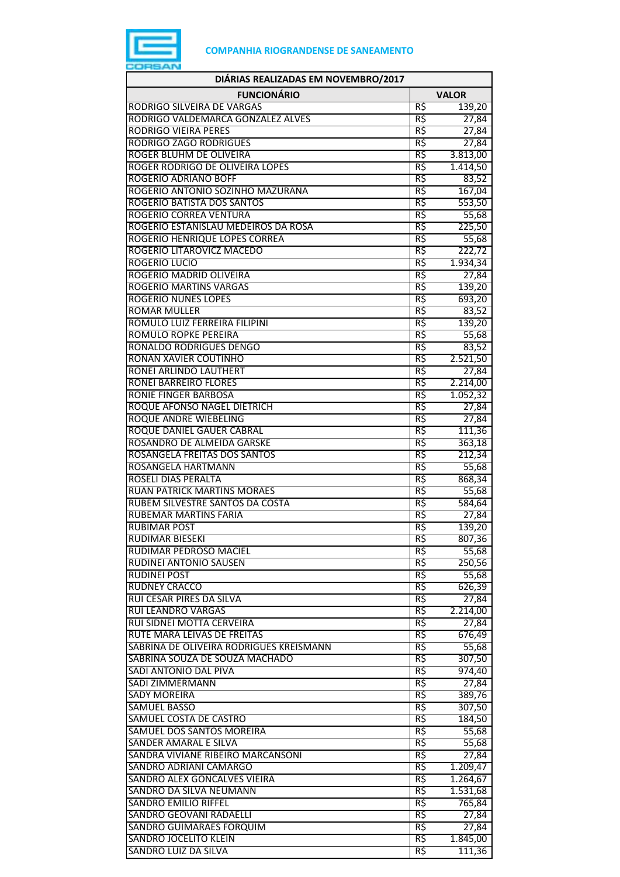

| DIÁRIAS REALIZADAS EM NOVEMBRO/2017                                    |                 |                  |
|------------------------------------------------------------------------|-----------------|------------------|
| <b>FUNCIONÁRIO</b>                                                     |                 | <b>VALOR</b>     |
| RODRIGO SILVEIRA DE VARGAS                                             | R\$             | 139,20           |
| RODRIGO VALDEMARCA GONZALEZ ALVES                                      | R\$             | 27,84            |
| <b>RODRIGO VIEIRA PERES</b>                                            | R\$             | 27,84            |
| <b>RODRIGO ZAGO RODRIGUES</b>                                          | R\$             | 27,84            |
| ROGER BLUHM DE OLIVEIRA                                                | R\$             | 3.813,00         |
| ROGER RODRIGO DE OLIVEIRA LOPES                                        | R\$             | 1.414,50         |
| ROGERIO ADRIANO BOFF                                                   | R\$             | 83,52            |
| ROGERIO ANTONIO SOZINHO MAZURANA<br>ROGERIO BATISTA DOS SANTOS         | R\$             | 167,04           |
| ROGERIO CORREA VENTURA                                                 | R\$<br>R\$      | 553,50<br>55,68  |
| ROGERIO ESTANISLAU MEDEIROS DA ROSA                                    | R\$             | 225,50           |
| ROGERIO HENRIQUE LOPES CORREA                                          | R\$             | 55,68            |
| ROGERIO LITAROVICZ MACEDO                                              | R\$             | 222,72           |
| <b>ROGERIO LUCIO</b>                                                   | R\$             | 1.934,34         |
| ROGERIO MADRID OLIVEIRA                                                | R\$             | 27,84            |
| <b>ROGERIO MARTINS VARGAS</b>                                          | R\$             | 139,20           |
| <b>ROGERIO NUNES LOPES</b>                                             | R\$             | 693,20           |
| <b>ROMAR MULLER</b>                                                    | R\$             | 83,52            |
| ROMULO LUIZ FERREIRA FILIPINI                                          | R\$             | 139,20           |
| <b>ROMULO ROPKE PEREIRA</b>                                            | R\$             | 55,68            |
| RONALDO RODRIGUES DENGO                                                | R\$             | 83,52            |
| <b>RONAN XAVIER COUTINHO</b>                                           | R\$             | 2.521,50         |
| RONEI ARLINDO LAUTHERT                                                 | R\$             | 27,84            |
| <b>RONEI BARREIRO FLORES</b>                                           | R\$             | 2.214,00         |
| <b>RONIE FINGER BARBOSA</b>                                            | R\$             | 1.052,32         |
| <b>ROQUE AFONSO NAGEL DIETRICH</b>                                     | R\$             | 27,84            |
| <b>ROQUE ANDRE WIEBELING</b>                                           | R\$             | 27,84            |
| ROQUE DANIEL GAUER CABRAL<br>ROSANDRO DE ALMEIDA GARSKE                | $R\zeta$<br>R\$ | 111,36           |
| ROSANGELA FREITAS DOS SANTOS                                           | R\$             | 363,18<br>212,34 |
| ROSANGELA HARTMANN                                                     | R\$             | 55,68            |
| ROSELI DIAS PERALTA                                                    | R\$             | 868,34           |
| <b>RUAN PATRICK MARTINS MORAES</b>                                     | R\$             | 55,68            |
| RUBEM SILVESTRE SANTOS DA COSTA                                        | R\$             | 584,64           |
| RUBEMAR MARTINS FARIA                                                  | R\$             | 27,84            |
| <b>RUBIMAR POST</b>                                                    | R\$             | 139,20           |
| <b>RUDIMAR BIESEKI</b>                                                 | R\$             | 807,36           |
| RUDIMAR PEDROSO MACIEL                                                 | R\$             | 55,68            |
| <b>RUDINEI ANTONIO SAUSEN</b>                                          | R\$             | 250,56           |
| <b>RUDINEI POST</b>                                                    | R\$             | 55,68            |
| RUDNEY CRACCO                                                          | R\$             | 626,39           |
| RUI CESAR PIRES DA SILVA                                               | R\$             | 27,84            |
| <b>RUI LEANDRO VARGAS</b>                                              | R\$             | 2.214,00         |
| RUI SIDNEI MOTTA CERVEIRA                                              | R\$             | 27,84            |
| RUTE MARA LEIVAS DE FREITAS<br>SABRINA DE OLIVEIRA RODRIGUES KREISMANN | R\$<br>R\$      | 676,49           |
| SABRINA SOUZA DE SOUZA MACHADO                                         | R\$             | 55,68<br>307,50  |
| SADI ANTONIO DAL PIVA                                                  | R\$             | 974,40           |
| <b>SADI ZIMMERMANN</b>                                                 | R\$             | 27,84            |
| <b>SADY MOREIRA</b>                                                    | R\$             | 389,76           |
| <b>SAMUEL BASSO</b>                                                    | R\$             | 307,50           |
| SAMUEL COSTA DE CASTRO                                                 | R\$             | 184,50           |
| SAMUEL DOS SANTOS MOREIRA                                              | R\$             | 55,68            |
| SANDER AMARAL E SILVA                                                  | R\$             | 55,68            |
| SANDRA VIVIANE RIBEIRO MARCANSONI                                      | R\$             | 27,84            |
| <b>SANDRO ADRIANI CAMARGO</b>                                          | R\$             | 1.209,47         |
| SANDRO ALEX GONCALVES VIEIRA                                           | R\$             | 1.264,67         |
| SANDRO DA SILVA NEUMANN                                                | R\$             | 1.531,68         |
| <b>SANDRO EMILIO RIFFEL</b>                                            | R\$             | 765,84           |
| SANDRO GEOVANI RADAELLI                                                | R\$             | 27,84            |
| SANDRO GUIMARAES FORQUIM                                               | R\$             | 27,84            |
| SANDRO JOCELITO KLEIN                                                  | R\$             | 1.845,00         |
| SANDRO LUIZ DA SILVA                                                   | R\$             | 111,36           |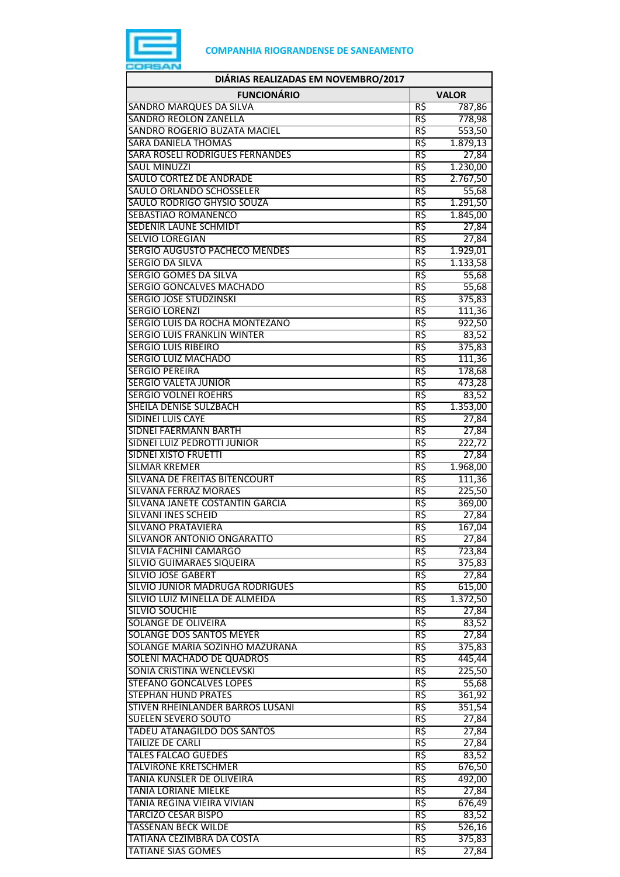

| DIÁRIAS REALIZADAS EM NOVEMBRO/2017                         |                 |                      |  |  |
|-------------------------------------------------------------|-----------------|----------------------|--|--|
| <b>FUNCIONÁRIO</b>                                          | <b>VALOR</b>    |                      |  |  |
| <b>SANDRO MARQUES DA SILVA</b>                              | R\$             | 787,86               |  |  |
| <b>SANDRO REOLON ZANELLA</b>                                | R\$             | 778,98               |  |  |
| SANDRO ROGERIO BUZATA MACIEL                                | R\$             | 553,50               |  |  |
| <b>SARA DANIELA THOMAS</b>                                  | R\$             | 1.879,13             |  |  |
| <b>SARA ROSELI RODRIGUES FERNANDES</b>                      | R\$             | 27,84                |  |  |
| <b>SAUL MINUZZI</b>                                         | R\$             | 1.230,00             |  |  |
| SAULO CORTEZ DE ANDRADE                                     | R\$             | 2.767,50             |  |  |
| SAULO ORLANDO SCHOSSELER<br>SAULO RODRIGO GHYSIO SOUZA      | R\$<br>R\$      | 55,68                |  |  |
| SEBASTIAO ROMANENCO                                         | R\$             | 1.291,50<br>1.845,00 |  |  |
| SEDENIR LAUNE SCHMIDT                                       | R\$             | 27,84                |  |  |
| <b>SELVIO LOREGIAN</b>                                      | R\$             | 27,84                |  |  |
| SERGIO AUGUSTO PACHECO MENDES                               | R\$             | 1.929,01             |  |  |
| <b>SERGIO DA SILVA</b>                                      | R\$             | 1.133,58             |  |  |
| SERGIO GOMES DA SILVA                                       | R\$             | 55,68                |  |  |
| <b>SERGIO GONCALVES MACHADO</b>                             | R\$             | 55,68                |  |  |
| <b>SERGIO JOSE STUDZINSKI</b>                               | R\$             | 375,83               |  |  |
| <b>SERGIO LORENZI</b>                                       | R\$             | 111,36               |  |  |
| SERGIO LUIS DA ROCHA MONTEZANO                              | R\$             | 922,50               |  |  |
| <b>SERGIO LUIS FRANKLIN WINTER</b>                          | R\$             | 83,52                |  |  |
| <b>SERGIO LUIS RIBEIRO</b>                                  | R\$             | 375,83               |  |  |
| <b>SERGIO LUIZ MACHADO</b>                                  | R\$             | 111,36               |  |  |
| <b>SERGIO PEREIRA</b>                                       | R\$             | 178,68               |  |  |
| <b>SERGIO VALETA JUNIOR</b>                                 | R\$             | 473,28               |  |  |
| <b>SERGIO VOLNEI ROEHRS</b>                                 | R\$             | 83,52                |  |  |
| SHEILA DENISE SULZBACH                                      | R\$             | 1.353,00             |  |  |
| <b>SIDINEI LUIS CAYE</b>                                    | R\$             | 27,84                |  |  |
| <b>SIDNEI FAERMANN BARTH</b><br>SIDNEI LUIZ PEDROTTI JUNIOR | R\$<br>R\$      | 27,84<br>222,72      |  |  |
| <b>SIDNEI XISTO FRUETTI</b>                                 | R\$             | 27,84                |  |  |
| <b>SILMAR KREMER</b>                                        | R\$             | 1.968,00             |  |  |
| SILVANA DE FREITAS BITENCOURT                               | R\$             | 111,36               |  |  |
| <b>SILVANA FERRAZ MORAES</b>                                | R\$             | 225,50               |  |  |
| SILVANA JANETE COSTANTIN GARCIA                             | R\$             | 369,00               |  |  |
| <b>SILVANI INES SCHEID</b>                                  | R\$             | 27,84                |  |  |
| <b>SILVANO PRATAVIERA</b>                                   | R\$             | 167,04               |  |  |
| SILVANOR ANTONIO ONGARATTO                                  | R\$             | 27,84                |  |  |
| SILVIA FACHINI CAMARGO                                      | R\$             | 723,84               |  |  |
| <b>SILVIO GUIMARAES SIQUEIRA</b>                            | R\$             | 375,83               |  |  |
| <b>SILVIO JOSE GABERT</b>                                   | R\$             | 27,84                |  |  |
| SILVIO JUNIOR MADRUGA RODRIGUES                             | R\$             | 615,00               |  |  |
| SILVIO LUIZ MINELLA DE ALMEIDA                              | R\$             | 1.372,50             |  |  |
| SILVIO SOUCHIE                                              | R\$             | 27,84                |  |  |
| SOLANGE DE OLIVEIRA<br><b>SOLANGE DOS SANTOS MEYER</b>      | R\$<br>R\$      | 83,52<br>27,84       |  |  |
| SOLANGE MARIA SOZINHO MAZURANA                              | $R\overline{S}$ | 375,83               |  |  |
| SOLENI MACHADO DE QUADROS                                   | R\$             | 445,44               |  |  |
| SONIA CRISTINA WENCLEVSKI                                   | R\$             | 225,50               |  |  |
| <b>STEFANO GONCALVES LOPES</b>                              | R\$             | 55,68                |  |  |
| <b>STEPHAN HUND PRATES</b>                                  | R\$             | 361,92               |  |  |
| STIVEN RHEINLANDER BARROS LUSANI                            | R\$             | 351,54               |  |  |
| <b>SUELEN SEVERO SOUTO</b>                                  | R\$             | 27,84                |  |  |
| <b>TADEU ATANAGILDO DOS SANTOS</b>                          | R\$             | 27,84                |  |  |
| <b>TAILIZE DE CARLI</b>                                     | R\$             | 27,84                |  |  |
| <b>TALES FALCAO GUEDES</b>                                  | R\$             | 83,52                |  |  |
| <b>TALVIRONE KRETSCHMER</b>                                 | R\$             | 676,50               |  |  |
| TANIA KUNSLER DE OLIVEIRA                                   | R\$             | 492,00               |  |  |
| <b>TANIA LORIANE MIELKE</b>                                 | R\$             | 27,84                |  |  |
| TANIA REGINA VIEIRA VIVIAN                                  | R\$             | 676,49               |  |  |
| TARCIZO CESAR BISPO                                         | R\$             | 83,52                |  |  |
| TASSENAN BECK WILDE                                         | R\$             | 526,16               |  |  |
| TATIANA CEZIMBRA DA COSTA<br><b>TATIANE SIAS GOMES</b>      | R\$<br>R\$      | 375,83               |  |  |
|                                                             |                 | 27,84                |  |  |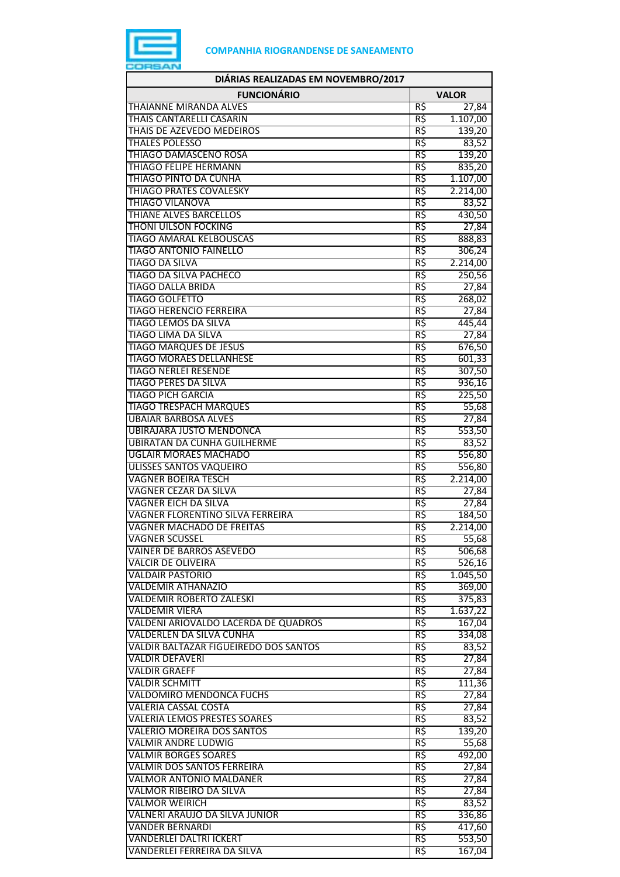

| DIÁRIAS REALIZADAS EM NOVEMBRO/2017                         |              |                    |  |  |
|-------------------------------------------------------------|--------------|--------------------|--|--|
| <b>FUNCIONÁRIO</b>                                          | <b>VALOR</b> |                    |  |  |
| THAIANNE MIRANDA ALVES                                      | R\$          | 27,84              |  |  |
| THAIS CANTARELLI CASARIN                                    | R\$          | 1.107,00           |  |  |
| THAIS DE AZEVEDO MEDEIROS                                   | R\$          | 139,20             |  |  |
| <b>THALES POLESSO</b>                                       | R\$          | 83,52              |  |  |
| THIAGO DAMASCENO ROSA                                       | R\$          | 139,20             |  |  |
| <b>THIAGO FELIPE HERMANN</b><br>THIAGO PINTO DA CUNHA       | R\$<br>R\$   | 835,20<br>1.107,00 |  |  |
| <b>THIAGO PRATES COVALESKY</b>                              | R\$          | 2.214,00           |  |  |
| <b>THIAGO VILANOVA</b>                                      | R\$          | 83,52              |  |  |
| THIANE ALVES BARCELLOS                                      | R\$          | 430,50             |  |  |
| <b>THONI UILSON FOCKING</b>                                 | R\$          | 27,84              |  |  |
| <b>TIAGO AMARAL KELBOUSCAS</b>                              | R\$          | 888,83             |  |  |
| <b>TIAGO ANTONIO FAINELLO</b>                               | R\$          | 306,24             |  |  |
| <b>TIAGO DA SILVA</b>                                       | R\$          | 2.214,00           |  |  |
| <b>TIAGO DA SILVA PACHECO</b>                               | R\$          | 250,56             |  |  |
| <b>TIAGO DALLA BRIDA</b>                                    | R\$          | 27,84              |  |  |
| <b>TIAGO GOLFETTO</b>                                       | R\$          | 268,02             |  |  |
| <b>TIAGO HERENCIO FERREIRA</b>                              | R\$          | 27,84              |  |  |
| <b>TIAGO LEMOS DA SILVA</b>                                 | R\$          | 445,44             |  |  |
| <b>TIAGO LIMA DA SILVA</b><br><b>TIAGO MARQUES DE JESUS</b> | R\$<br>R\$   | 27,84              |  |  |
| <b>TIAGO MORAES DELLANHESE</b>                              | R\$          | 676,50<br>601,33   |  |  |
| <b>TIAGO NERLEI RESENDE</b>                                 | R\$          | 307,50             |  |  |
| <b>TIAGO PERES DA SILVA</b>                                 | R\$          | 936,16             |  |  |
| <b>TIAGO PICH GARCIA</b>                                    | R\$          | 225,50             |  |  |
| <b>TIAGO TRESPACH MARQUES</b>                               | R\$          | 55,68              |  |  |
| <b>UBAIAR BARBOSA ALVES</b>                                 | R\$          | 27,84              |  |  |
| <b>UBIRAJARA JUSTO MENDONCA</b>                             | R\$          | 553,50             |  |  |
| <b>UBIRATAN DA CUNHA GUILHERME</b>                          | R\$          | 83,52              |  |  |
| <b>UGLAIR MORAES MACHADO</b>                                | R\$          | 556,80             |  |  |
| <b>ULISSES SANTOS VAQUEIRO</b>                              | R\$          | 556,80             |  |  |
| <b>VAGNER BOEIRA TESCH</b>                                  | R\$          | 2.214,00           |  |  |
| VAGNER CEZAR DA SILVA                                       | R\$          | 27,84              |  |  |
| <b>VAGNER EICH DA SILVA</b>                                 | R\$          | 27,84              |  |  |
| VAGNER FLORENTINO SILVA FERREIRA                            | R\$<br>R\$   | 184,50             |  |  |
| <b>VAGNER MACHADO DE FREITAS</b>                            |              | 2.214,00           |  |  |
| VAGNER SCUSSEL<br><b>VAINER DE BARROS ASEVEDO</b>           | RŞ<br>R\$    | 55,68<br>506,68    |  |  |
| <b>VALCIR DE OLIVEIRA</b>                                   | R\$          | 526,16             |  |  |
| <b>VALDAIR PASTORIO</b>                                     | R\$          | 1.045,50           |  |  |
| <b>VALDEMIR ATHANAZIO</b>                                   | R\$          | 369,00             |  |  |
| <b>VALDEMIR ROBERTO ZALESKI</b>                             | R\$          | 375,83             |  |  |
| <b>VALDEMIR VIERA</b>                                       | R\$          | 1.637,22           |  |  |
| VALDENI ARIOVALDO LACERDA DE QUADROS                        | R\$          | 167,04             |  |  |
| VALDERLEN DA SILVA CUNHA                                    | R\$          | 334,08             |  |  |
| VALDIR BALTAZAR FIGUEIREDO DOS SANTOS                       | R\$          | 83,52              |  |  |
| <b>VALDIR DEFAVERI</b>                                      | R\$          | 27,84              |  |  |
| <b>VALDIR GRAEFF</b>                                        | R\$          | 27,84              |  |  |
| <b>VALDIR SCHMITT</b>                                       | R\$<br>R\$   | 111,36             |  |  |
| VALDOMIRO MENDONCA FUCHS<br><b>VALERIA CASSAL COSTA</b>     | R\$          | 27,84<br>27,84     |  |  |
| <b>VALERIA LEMOS PRESTES SOARES</b>                         | R\$          | 83,52              |  |  |
| <b>VALERIO MOREIRA DOS SANTOS</b>                           | R\$          | 139,20             |  |  |
| <b>VALMIR ANDRE LUDWIG</b>                                  | R\$          | 55,68              |  |  |
| <b>VALMIR BORGES SOARES</b>                                 | R\$          | 492,00             |  |  |
| VALMIR DOS SANTOS FERREIRA                                  | R\$          | 27,84              |  |  |
| <b>VALMOR ANTONIO MALDANER</b>                              | R\$          | 27,84              |  |  |
| <b>VALMOR RIBEIRO DA SILVA</b>                              | R\$          | 27,84              |  |  |
| <b>VALMOR WEIRICH</b>                                       | R\$          | 83,52              |  |  |
| VALNERI ARAUJO DA SILVA JUNIOR                              | R\$          | 336,86             |  |  |
| <b>VANDER BERNARDI</b>                                      | R\$          | 417,60             |  |  |
| VANDERLEI DALTRI ICKERT                                     | R\$          | 553,50             |  |  |
| VANDERLEI FERREIRA DA SILVA                                 | R\$          | 167,04             |  |  |